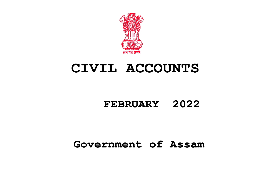

# **CIVIL ACCOUNTS**

## **FEBRUARY 2022**

## **Government of Assam**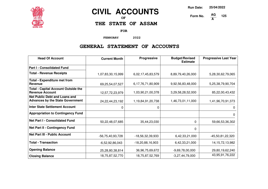

### **CIVIL ACCOUNTS**

**OF**

**THE STATE OF ASSAM**

**FOR**

**FEBRUARY 2022**

#### **GENERAL STATEMENT OF ACCOUNTS**

| <b>Head Of Account</b>                                                          | <b>Current Month</b> | <b>Progressive</b> | <b>Budget/Revised</b><br><b>Estimate</b> | <b>Progressive Last Year</b> |
|---------------------------------------------------------------------------------|----------------------|--------------------|------------------------------------------|------------------------------|
| <b>Part I - Consolidated Fund</b>                                               |                      |                    |                                          |                              |
| <b>Total - Revenue Receipts</b>                                                 | 1,07,83,30,15,999    | 6,02,17,45,83,579  | 8,89,79,40,26,000                        | 5,28,30,62,79,065            |
| <b>Total - Expenditure met from</b><br><b>Revenue</b>                           | 69,25,54,07,527      | 6,17,76,71,80,909  | 9,92,56,83,48,000                        | 5,25,38,79,90,704            |
| <b>Total - Capital Account Outside the</b><br><b>Revenue Account</b>            | 12,57,72,23,979      | 1,03,90,21,00,378  | 3,29,58,28,52,000                        | 85,22,00,43,432              |
| <b>Net Public Debt and Loans and</b><br><b>Advances by the State Government</b> | 24, 22, 44, 23, 192  | 1,19,84,91,20,738  | 1,46,73,01,11,000                        | 1,41,96,70,91,373            |
| Inter State Settlement Account                                                  | 0                    | 0                  |                                          | $\Omega$                     |
| <b>Appropriation to Contingency Fund</b>                                        |                      |                    |                                          | 0                            |
| <b>Net Part I - Consolidated Fund</b>                                           | 50,22,48,07,685      | 35,44,23,030       | $\Omega$                                 | 59,66,53,36,302              |
| <b>Net Part II - Contingency Fund</b>                                           |                      |                    | $\Omega$                                 |                              |
| <b>Net Part III - Public Account</b>                                            | -56,75,40,93,728     | -18,56,32,39,933   | 6,42,33,21,000                           | -45,50,81,22,320             |
| <b>Total - Transaction</b>                                                      | $-6,52,92,86,043$    | $-18,20,88,16,903$ | 6,42,33,21,000                           | 14, 15, 72, 13, 982          |
| <b>Opening Balance</b>                                                          | 25,28,80,38,814      | 36,96,75,69,672    | $-9,69,78,00,000$                        | 29,80,19,62,240              |
| <b>Closing Balance</b>                                                          | 18,75,87,52,770      | 18,75,87,52,769    | $-3,27,44,79,000$                        | 43,95,91,76,222              |

**Run Date: 25/04/2022**

**Form No.** 

**A 125**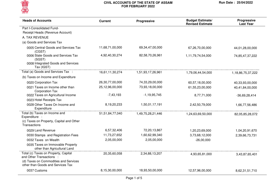

| <b>Heads of Accounts</b>                                                                        | <b>Current</b>  | <b>Progressive</b> | <b>Budget Estimate/</b><br><b>Revised Estimate</b> | Progressive<br><b>Last Year</b> |
|-------------------------------------------------------------------------------------------------|-----------------|--------------------|----------------------------------------------------|---------------------------------|
| Part I-Consolidated Fund-                                                                       |                 |                    |                                                    |                                 |
| Receipt Heads (Revenue Account)                                                                 |                 |                    |                                                    |                                 |
| A. TAX REVENUE                                                                                  |                 |                    |                                                    |                                 |
| (a) Goods and Services Tax                                                                      |                 |                    |                                                    |                                 |
| 0005 Central Goods and Services Tax<br>(CGST)                                                   | 11,68,71,00,000 | 69,34,47,00,000    | 67,26,70,00,000                                    | 44,01,28,00,000                 |
| 0006 State Goods and Services Tax<br>(SGST)<br>0008 Integrated Goods and Services<br>Tax (IGST) | 4,92,40,30,274  | 82,58,70,26,961    | 1,11,79,74,54,000                                  | 74,85,47,37,222                 |
| Total (a) Goods and Services Tax :                                                              | 16,61,11,30,274 | 1,51,93,17,26,961  | 1,79,06,44,54,000                                  | 1,18,86,75,37,222               |
| (b) Taxes on Income and Expenditure                                                             |                 |                    |                                                    |                                 |
| 0020 Corporation Tax                                                                            | 26,30,77,00,000 | 74,33,29,00,000    | 60,57,18,00,000                                    | 40,33,93,00,000                 |
| 0021 Taxes on Income other than<br><b>Corporation Tax</b>                                       | 25,12,96,00,000 | 73,93,18,00,000    | 61,55,23,00,000                                    | 40,41,84,00,000                 |
| 0022 Taxes on Agricultural Income<br>0023 Hotel Receipts Tax                                    | $-7,43,193$     | $-1, 19, 95, 745$  | 8,77,71,000                                        | $-36,69,28,414$                 |
| 0028 Other Taxes On Income and<br>Expenditure                                                   | 8,19,20,233     | 1,50,01,17,191     | 2,42,50,79,000                                     | 1,66,77,56,486                  |
| Total (b) Taxes on Income and<br>Expenditure :                                                  | 51,51,84,77,040 | 1,49,75,28,21,446  | 1,24,63,69,50,000                                  | 82,05,85,28,072                 |
| (c) Taxes on Property, Capital and Other<br>Transactions                                        |                 |                    |                                                    |                                 |
| 0029 Land Revenue                                                                               | 6,57,32,406     | 72,20,13,867       | 1,20,23,69,000                                     | 1,04,20,91,670                  |
| 0030 Stamps and Registration Fees                                                               | 11,73,27,652    | 1,60,62,99,340     | 3,73,68,12,000                                     | 2,39,66,73,731                  |
| 0032 Taxes on Wealth                                                                            | 2,05,00,000     | 2,05,00,000        | $-26,00,000$                                       |                                 |
| 0035 Taxes on Immovable Property<br>other than Agricultural Land                                |                 |                    |                                                    |                                 |
| Total (c) Taxes on Property, Capital<br>and Other Transactions :                                | 20,35,60,058    | 2,34,88,13,207     | 4,93,65,81,000                                     | 3,43,87,65,401                  |
| (d) Taxes on Commodities and Services<br>other than Goods and Services Tax                      |                 |                    |                                                    |                                 |
| 0037 Customs                                                                                    | 8,15,30,00,000  | 18,93,50,00,000    | 12,57,96,00,000                                    | 8,62,31,51,710                  |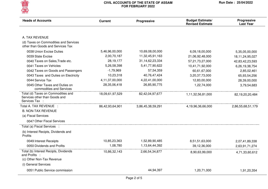

| <b>Heads of Accounts</b>                                                              | <b>Current</b>  | <b>Progressive</b> | <b>Budget Estimate/</b><br><b>Revised Estimate</b> | Progressive<br><b>Last Year</b> |
|---------------------------------------------------------------------------------------|-----------------|--------------------|----------------------------------------------------|---------------------------------|
|                                                                                       |                 |                    |                                                    |                                 |
| A. TAX REVENUE                                                                        |                 |                    |                                                    |                                 |
| (d) Taxes on Commodities and Services<br>other than Goods and Services Tax            |                 |                    |                                                    |                                 |
| 0038 Union Excise Duties                                                              | 5,46,96,00,000  | 10,69,08,00,000    | 6,09,18,00,000                                     | 5,35,05,00,000                  |
| 0039 State Excise                                                                     | 2,00,70,187     | 11,32,45,91,163    | 21,06,92,48,000                                    | 18,11,24,95,027                 |
| 0040 Taxes on Sales, Trade etc.                                                       | 28,19,177       | 31,14,62,23,334    | 57,21,73,27,000                                    | 42,83,42,23,593                 |
| 0041 Taxes on Vehicles                                                                | 5,26,58,398     | 5,41,77,90,622     | 10,41,71,92,000                                    | 6,26,19,38,754                  |
| 0042 Taxes on Goods and Passengers                                                    | $-1,79,969$     | 57,54,359          | 60,61,67,000                                       | 2,85,02,461                     |
| 0043 Taxes and Duties on Electricity                                                  | 10,23,318       | 40,76,47,424       | 3,20,37,73,000                                     | 65,93,54,256                    |
| 0044 Service Tax                                                                      | 4,11,37,00,000  | 4,22,41,00,000     | 12,83,00,000                                       | 28,39,00,000                    |
| 0045 Other Taxes and Duties on<br>commodities and Services                            | 28,35,06,418    | 26,85,90,775       | 1,22,74,000                                        | 3,79,54,683                     |
| Total (d) Taxes on Commodities and<br>Services other than Goods and<br>Services Tax : | 18,09,61,97,529 | 82,42,04,97,677    | 1,11,32,56,81,000                                  | 82,19,20,20,484                 |
| Total A. TAX REVENUE :                                                                | 86,42,93,64,901 | 3,86,45,38,59,291  | 4,19,96,36,66,000                                  | 2,86,55,68,51,179               |
| <b>B. NON-TAX REVENUE</b>                                                             |                 |                    |                                                    |                                 |
| (a) Fiscal Services                                                                   |                 |                    |                                                    |                                 |
| 0047 Other Fiscal Services                                                            |                 |                    |                                                    |                                 |
| Total (a) Fiscal Services :                                                           |                 |                    |                                                    |                                 |
| (b) Interest Recipts, Dividends and<br>Profits                                        |                 |                    |                                                    |                                 |
| 0049 Interest Receipts                                                                | 10,85,23,363    | 1,52,89,90,485     | 8,51,51,63,000                                     | 2,07,41,89,338                  |
| 0050 Dividends and Profits                                                            | 1,08,780        | 1,13,64,44,392     | 39,12,36,000                                       | 2,63,91,71,274                  |
| Total (b) Interest Recipts, Dividends<br>and Profits :                                | 10,86,32,143    | 2,66,54,34,877     | 8,90,63,99,000                                     | 4,71,33,60,612                  |
| (c) Other Non-Tax Revenue                                                             |                 |                    |                                                    |                                 |
| (i) General Services                                                                  |                 |                    |                                                    |                                 |
| 0051 Public Service commission                                                        |                 | 44,94,397          | 1,20,71,000                                        | 1,91,20,354                     |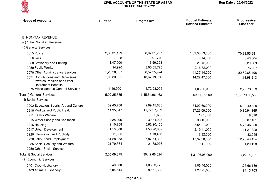

| <b>B. NON-TAX REVENUE</b><br>(c) Other Non-Tax Revenue<br>(i) General Services<br>2,80,31,129<br>0055 Police<br>58,07,31,287<br>1,09,06,73,000<br>7,988<br>0056 Jails<br>2,91,776<br>9,14,000<br>1,47,000<br>6,59,253<br>0058 Stationery and Printing<br>21,42,000<br>94,920<br>3,05,05,725<br>0059 Public Works<br>2,16,72,000<br>1,20,28,037<br>68,57,95,974<br>0070 Other Administrative Services<br>1,41,37,14,000<br>1,00,33,361<br>0071 Contributions and Recoveries<br>13,67,19,956<br>14,22,47,000<br>towards Pension and Other<br><b>Retirement Benefits</b><br>$-1,16,900$<br>1,72,98,095<br>0075 Miscellaneous General Services<br>1,06,85,000<br>Total(i) General Services :<br>5,02,25,535<br>1,45,64,96,463<br>2,69,41,18,000<br>(ii) Social Services<br>2,99,45,606<br>0202 Education, Sports, Art and Culture<br>59,45,708<br>74,92,66,000<br>0210 Medical and Public Health<br>14,95,847<br>11,72,27,989<br>27,29,09,000<br>60,680<br>0211 Family Welfare<br>1,61,000<br>4,28,495<br>39,34,223<br>0215 Water Supply and Sanitation<br>98,15,000<br>42,10,208<br>5,62,20,450<br>0216 Housing<br>8,54,01,000<br>1,10,000<br>1,58,20,857<br>0217 Urban Development<br>2,19,41,000<br>11,500<br>1,13,450<br>0220 Information and Publicity<br>2,32,000<br>61,28,253<br>7,87,54,393<br>0230 Labour and Employment<br>17,07,30,000<br>21,88,976<br>0235 Social Security and Welfare<br>21,79,364<br>2,41,000<br>0250 Other Social Services<br>Total(ii) Social Services :<br>2,05,09,375<br>30,42,66,624<br>1,31,06,96,000<br>(iii) Economic Services<br>1,05,83,779<br>0401 Crop Husbandry<br>2,40,600<br>1,06,46,000 | <b>Heads of Accounts</b> | <b>Current</b> | <b>Progressive</b> | <b>Budget Estimate/</b><br><b>Revised Estimate</b> | <b>Progressive</b><br><b>Last Year</b> |
|-----------------------------------------------------------------------------------------------------------------------------------------------------------------------------------------------------------------------------------------------------------------------------------------------------------------------------------------------------------------------------------------------------------------------------------------------------------------------------------------------------------------------------------------------------------------------------------------------------------------------------------------------------------------------------------------------------------------------------------------------------------------------------------------------------------------------------------------------------------------------------------------------------------------------------------------------------------------------------------------------------------------------------------------------------------------------------------------------------------------------------------------------------------------------------------------------------------------------------------------------------------------------------------------------------------------------------------------------------------------------------------------------------------------------------------------------------------------------------------------------------------------------------------------------------------------------------------------------------------------------------------|--------------------------|----------------|--------------------|----------------------------------------------------|----------------------------------------|
|                                                                                                                                                                                                                                                                                                                                                                                                                                                                                                                                                                                                                                                                                                                                                                                                                                                                                                                                                                                                                                                                                                                                                                                                                                                                                                                                                                                                                                                                                                                                                                                                                                   |                          |                |                    |                                                    |                                        |
|                                                                                                                                                                                                                                                                                                                                                                                                                                                                                                                                                                                                                                                                                                                                                                                                                                                                                                                                                                                                                                                                                                                                                                                                                                                                                                                                                                                                                                                                                                                                                                                                                                   |                          |                |                    |                                                    |                                        |
|                                                                                                                                                                                                                                                                                                                                                                                                                                                                                                                                                                                                                                                                                                                                                                                                                                                                                                                                                                                                                                                                                                                                                                                                                                                                                                                                                                                                                                                                                                                                                                                                                                   |                          |                |                    |                                                    |                                        |
|                                                                                                                                                                                                                                                                                                                                                                                                                                                                                                                                                                                                                                                                                                                                                                                                                                                                                                                                                                                                                                                                                                                                                                                                                                                                                                                                                                                                                                                                                                                                                                                                                                   |                          |                |                    |                                                    |                                        |
|                                                                                                                                                                                                                                                                                                                                                                                                                                                                                                                                                                                                                                                                                                                                                                                                                                                                                                                                                                                                                                                                                                                                                                                                                                                                                                                                                                                                                                                                                                                                                                                                                                   |                          |                |                    |                                                    | 70,29,55,681                           |
|                                                                                                                                                                                                                                                                                                                                                                                                                                                                                                                                                                                                                                                                                                                                                                                                                                                                                                                                                                                                                                                                                                                                                                                                                                                                                                                                                                                                                                                                                                                                                                                                                                   |                          |                |                    |                                                    | 3,46,564                               |
|                                                                                                                                                                                                                                                                                                                                                                                                                                                                                                                                                                                                                                                                                                                                                                                                                                                                                                                                                                                                                                                                                                                                                                                                                                                                                                                                                                                                                                                                                                                                                                                                                                   |                          |                |                    |                                                    | 3,20,569                               |
|                                                                                                                                                                                                                                                                                                                                                                                                                                                                                                                                                                                                                                                                                                                                                                                                                                                                                                                                                                                                                                                                                                                                                                                                                                                                                                                                                                                                                                                                                                                                                                                                                                   |                          |                |                    |                                                    | 99,76,027                              |
|                                                                                                                                                                                                                                                                                                                                                                                                                                                                                                                                                                                                                                                                                                                                                                                                                                                                                                                                                                                                                                                                                                                                                                                                                                                                                                                                                                                                                                                                                                                                                                                                                                   |                          |                |                    |                                                    | 82,62,65,498                           |
|                                                                                                                                                                                                                                                                                                                                                                                                                                                                                                                                                                                                                                                                                                                                                                                                                                                                                                                                                                                                                                                                                                                                                                                                                                                                                                                                                                                                                                                                                                                                                                                                                                   |                          |                |                    |                                                    | 11,18,98,213                           |
|                                                                                                                                                                                                                                                                                                                                                                                                                                                                                                                                                                                                                                                                                                                                                                                                                                                                                                                                                                                                                                                                                                                                                                                                                                                                                                                                                                                                                                                                                                                                                                                                                                   |                          |                |                    |                                                    | 2,70,73,653                            |
|                                                                                                                                                                                                                                                                                                                                                                                                                                                                                                                                                                                                                                                                                                                                                                                                                                                                                                                                                                                                                                                                                                                                                                                                                                                                                                                                                                                                                                                                                                                                                                                                                                   |                          |                |                    |                                                    | 1,69,79,56,559                         |
|                                                                                                                                                                                                                                                                                                                                                                                                                                                                                                                                                                                                                                                                                                                                                                                                                                                                                                                                                                                                                                                                                                                                                                                                                                                                                                                                                                                                                                                                                                                                                                                                                                   |                          |                |                    |                                                    |                                        |
|                                                                                                                                                                                                                                                                                                                                                                                                                                                                                                                                                                                                                                                                                                                                                                                                                                                                                                                                                                                                                                                                                                                                                                                                                                                                                                                                                                                                                                                                                                                                                                                                                                   |                          |                |                    |                                                    | 5,22,49,639                            |
|                                                                                                                                                                                                                                                                                                                                                                                                                                                                                                                                                                                                                                                                                                                                                                                                                                                                                                                                                                                                                                                                                                                                                                                                                                                                                                                                                                                                                                                                                                                                                                                                                                   |                          |                |                    |                                                    | 10,30,94,865                           |
|                                                                                                                                                                                                                                                                                                                                                                                                                                                                                                                                                                                                                                                                                                                                                                                                                                                                                                                                                                                                                                                                                                                                                                                                                                                                                                                                                                                                                                                                                                                                                                                                                                   |                          |                |                    |                                                    | 8,810                                  |
|                                                                                                                                                                                                                                                                                                                                                                                                                                                                                                                                                                                                                                                                                                                                                                                                                                                                                                                                                                                                                                                                                                                                                                                                                                                                                                                                                                                                                                                                                                                                                                                                                                   |                          |                |                    |                                                    | 60,07,481                              |
|                                                                                                                                                                                                                                                                                                                                                                                                                                                                                                                                                                                                                                                                                                                                                                                                                                                                                                                                                                                                                                                                                                                                                                                                                                                                                                                                                                                                                                                                                                                                                                                                                                   |                          |                |                    |                                                    | 5,75,46,930                            |
|                                                                                                                                                                                                                                                                                                                                                                                                                                                                                                                                                                                                                                                                                                                                                                                                                                                                                                                                                                                                                                                                                                                                                                                                                                                                                                                                                                                                                                                                                                                                                                                                                                   |                          |                |                    |                                                    | 11,21,328                              |
|                                                                                                                                                                                                                                                                                                                                                                                                                                                                                                                                                                                                                                                                                                                                                                                                                                                                                                                                                                                                                                                                                                                                                                                                                                                                                                                                                                                                                                                                                                                                                                                                                                   |                          |                |                    |                                                    | 83,055                                 |
|                                                                                                                                                                                                                                                                                                                                                                                                                                                                                                                                                                                                                                                                                                                                                                                                                                                                                                                                                                                                                                                                                                                                                                                                                                                                                                                                                                                                                                                                                                                                                                                                                                   |                          |                |                    |                                                    | 12,25,48,454                           |
|                                                                                                                                                                                                                                                                                                                                                                                                                                                                                                                                                                                                                                                                                                                                                                                                                                                                                                                                                                                                                                                                                                                                                                                                                                                                                                                                                                                                                                                                                                                                                                                                                                   |                          |                |                    |                                                    | 1,29,158                               |
|                                                                                                                                                                                                                                                                                                                                                                                                                                                                                                                                                                                                                                                                                                                                                                                                                                                                                                                                                                                                                                                                                                                                                                                                                                                                                                                                                                                                                                                                                                                                                                                                                                   |                          |                |                    |                                                    |                                        |
|                                                                                                                                                                                                                                                                                                                                                                                                                                                                                                                                                                                                                                                                                                                                                                                                                                                                                                                                                                                                                                                                                                                                                                                                                                                                                                                                                                                                                                                                                                                                                                                                                                   |                          |                |                    |                                                    | 34,27,89,720                           |
|                                                                                                                                                                                                                                                                                                                                                                                                                                                                                                                                                                                                                                                                                                                                                                                                                                                                                                                                                                                                                                                                                                                                                                                                                                                                                                                                                                                                                                                                                                                                                                                                                                   |                          |                |                    |                                                    |                                        |
|                                                                                                                                                                                                                                                                                                                                                                                                                                                                                                                                                                                                                                                                                                                                                                                                                                                                                                                                                                                                                                                                                                                                                                                                                                                                                                                                                                                                                                                                                                                                                                                                                                   |                          |                |                    |                                                    | 1,25,66,139                            |
|                                                                                                                                                                                                                                                                                                                                                                                                                                                                                                                                                                                                                                                                                                                                                                                                                                                                                                                                                                                                                                                                                                                                                                                                                                                                                                                                                                                                                                                                                                                                                                                                                                   | 0403 Animal Husbandry    | 5,04,544       | 82,71,693          | 1,27,75,000                                        | 94,13,703                              |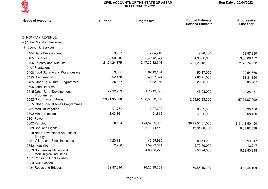

| <b>Heads of Accounts</b>                                | <b>Current</b>  | <b>Progressive</b> | <b>Budget Estimate/</b><br><b>Revised Estimate</b> | Progressive<br><b>Last Year</b> |
|---------------------------------------------------------|-----------------|--------------------|----------------------------------------------------|---------------------------------|
|                                                         |                 |                    |                                                    |                                 |
| <b>B. NON-TAX REVENUE</b>                               |                 |                    |                                                    |                                 |
| (c) Other Non-Tax Revenue                               |                 |                    |                                                    |                                 |
| (iii) Economic Services                                 |                 |                    |                                                    |                                 |
| 0404 Dairy Development                                  | 9,907           | 7,84,743           | 9,96,000                                           | 22,97,880                       |
| 0405 Fisheries                                          | 30,90,216       | 3,40,48,674        | 4,95,38,000                                        | 3,33,08,472                     |
| 0406 Forestry and Wild Life                             | 21, 24, 24, 375 | 2,47,32,82,346     | 5,31,26,42,000                                     | 2,71,70,74,252                  |
| 0407 Plantations                                        |                 |                    |                                                    |                                 |
| 0408 Food Storage and Warehousing                       | 53,680          | 62,49,164          | 50,17,000                                          | 22,54,666                       |
| 0425 Co-operation                                       | 2,52,178        | 46,87,674          | 2,66,71,000                                        | 63,81,390                       |
| 0435 Other Agricultural Programmes                      | 35,287          | 6,22,969           | 23,63,000                                          | 8,06,287                        |
| 0506 Land Reforms                                       |                 |                    |                                                    |                                 |
| 0515 Other Rural Development<br>Programmes              | 27,32,783       | 1,75,49,798        | 45,93,000                                          | 19,38,411                       |
| 0552 North Eastern Areas                                | 23,21,95,000    | 1,06,55,72,000     | 2,59,95,33,000                                     | 57,74,87,000                    |
| 0575 Other Special Areas Programmes                     |                 |                    |                                                    |                                 |
| 0701 Medium Irrigation                                  | 91,750          | 12,07,602          | 85,69,000                                          | 55,30,456                       |
| 0702 Minor Irrigation                                   | 1,03,361        | 11,91,815          | 41,26,000                                          | 1,92,08,190                     |
| 0801 Power                                              |                 |                    |                                                    |                                 |
| 0802 Petroleum                                          | 20,154          | 13,74,57,99,069    | 38,72,51,01,000                                    | 13,11,48,90,400                 |
| 0803 Coal and Lignite                                   |                 | 3,71,44,452        | 49,61,06,000                                       | 16,03,82,326                    |
| 0810 Non Conventional Sources of<br>Energy              |                 |                    |                                                    |                                 |
| 0851 Village and Small Industries                       | 4,20,131        | 43,59,980          | 80,54,000                                          | 39,99,347                       |
| 0852 Industries                                         | 2,250           | 1,59,79,041        | 2,73,59,000                                        | 13,247                          |
| 0853 Non-ferrous Mining and<br>Metallurgical industries |                 | 4,66,80,273        | 9,56,94,000                                        | 5,69,50,948                     |
| 1051 Ports and Light Houses                             |                 |                    |                                                    |                                 |
| 1053 Civil Aviation                                     |                 |                    |                                                    |                                 |
| 1054 Roads and Bridges                                  | 89,87,616       | 16,26,39,358       | 50,55,46,000                                       | 13,65,44,168                    |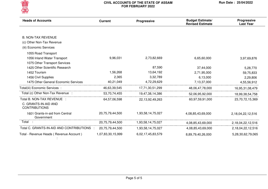

| <b>Heads of Accounts</b>                      | <b>Current</b>    | Progressive         | <b>Budget Estimate/</b><br><b>Revised Estimate</b> | <b>Progressive</b><br><b>Last Year</b> |
|-----------------------------------------------|-------------------|---------------------|----------------------------------------------------|----------------------------------------|
|                                               |                   |                     |                                                    |                                        |
| <b>B. NON-TAX REVENUE</b>                     |                   |                     |                                                    |                                        |
| (c) Other Non-Tax Revenue                     |                   |                     |                                                    |                                        |
| (iii) Economic Services                       |                   |                     |                                                    |                                        |
| 1055 Road Transport                           |                   |                     |                                                    |                                        |
| 1056 Inland Water Transport                   | 9,96,031          | 2,73,82,669         | 6,65,60,000                                        | 3,97,69,876                            |
| 1075 Other Transport Services                 |                   |                     |                                                    |                                        |
| 1425 Other Scientific Research                |                   | 87,590              | 37,44,000                                          | 5,28,770                               |
| 1452 Tourism                                  | 1,56,268          | 13,64,192           | 2,71,95,000                                        | 59,75,833                              |
| 1456 Civil Supplies                           | 2,365             | 3,32,789            | 6,13,000                                           | 2,29,806                               |
| 1475 Other General Economic Services          | 40,21,049         | 4,72,29,629         | 7,13,37,000                                        | 4,55,56,912                            |
| Total(iii) Economic Services :                | 46,63,39,545      | 17,71,30,51,299     | 48,06,47,78,000                                    | 16,95,31,08,479                        |
| Total (c) Other Non-Tax Revenue :             | 53,70,74,455      | 19,47,38,14,386     | 52,06,95,92,000                                    | 18,99,38,54,758                        |
| Total B. NON-TAX REVENUE :                    | 64,57,06,598      | 22, 13, 92, 49, 263 | 60,97,59,91,000                                    | 23,70,72,15,369                        |
| C. GRANTS-IN-AID AND<br><b>CONTRIBUTIONS</b>  |                   |                     |                                                    |                                        |
| 1601 Grants-in-aid from Central<br>Government | 20,75,79,44,500   | 1,93,58,14,75,027   | 4,08,85,43,69,000                                  | 2,18,04,22,12,516                      |
| Total                                         | 20,75,79,44,500   | 1,93,58,14,75,027   | 4,08,85,43,69,000                                  | 2,18,04,22,12,516                      |
| Total C. GRANTS-IN-AID AND CONTRIBUTIONS      | 20,75,79,44,500   | 1,93,58,14,75,027   | 4,08,85,43,69,000                                  | 2,18,04,22,12,516                      |
| Total - Revenue Heads (Revenue Account)       | 1,07,83,30,15,999 | 6,02,17,45,83,579   | 8,89,79,40,26,000                                  | 5,28,30,62,79,065                      |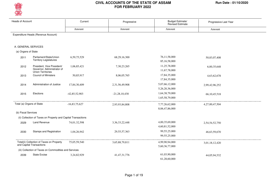

| <b>Heads of Account</b>   |                                                                                      | Current         | Progressive        | Budget Estimate/<br><b>Revised Estimate</b> | Progressive Last Year |
|---------------------------|--------------------------------------------------------------------------------------|-----------------|--------------------|---------------------------------------------|-----------------------|
|                           |                                                                                      | Amount          | Amount             | Amount                                      | Amount                |
|                           | Expenditure Heads (Revenue Account)                                                  |                 |                    |                                             |                       |
| A. GENERAL SERVICES       |                                                                                      |                 |                    |                                             |                       |
| (a) Organs of State       |                                                                                      |                 |                    |                                             |                       |
| 2011                      | Parliament/State/Union<br><b>Territory Legislatures</b>                              | 6,59,75,529     | 68,29,16,300       | 76,11,58,000<br>85,16,58,000                | 50,83,07,408          |
| 2012                      | President, Vice President/<br>Governor, Administrator of<br><b>Union Territories</b> | 1,06,85,421     | 7,30,23,265        | 11,25,78,000<br>11,67,78,000                | 6,00,35,648           |
| 2013                      | <b>Council of Ministers</b>                                                          | 50,85,917       | 8,06,05,765        | 17,84,35,000<br>17,84,35,000                | 4,63,62,678           |
| 2014                      | Administration of Justice                                                            | 17,84,30,409    | 2,31,56,49,908     | 5,07,66,12,000<br>5,26,20,36,000            | 2,99,42,96,252        |
| 2015                      | Elections                                                                            | $-42,85,52,903$ | $-21,28,10,430$    | 1,64,38,79,000<br>1,65,58,79,000            | 66, 10, 45, 518       |
| Total (a) Organs of State |                                                                                      | $-16,83,75,627$ | 2,93,93,84,808     | 7,77,26,62,000<br>8,06,47,86,000            | 4,27,00,47,504        |
| (b) Fiscal Services       |                                                                                      |                 |                    |                                             |                       |
|                           | (ii) Collection of Taxes on Property and Capital Transactions                        |                 |                    |                                             |                       |
| 2029                      | Land Revenue                                                                         | 74,01,32,598    | 3, 36, 33, 22, 448 | 4,00,35,69,000<br>4,60,81,52,000            | 2,54,54,52,750        |
| 2030                      | <b>Stamps and Registration</b>                                                       | 1,04,26,942     | 29, 55, 57, 363    | 99,55,25,000<br>99,55,25,000                | 46,63,59,670          |
|                           | Total(ii) Collection of Taxes on Property<br>and Capital Transactions                | 75,05,59,540    | 3,65,88,79,811     | 4,99,90,94,000<br>5,60,36,77,000            | 3,01,18,12,420        |
|                           | (iii) Collection of Taxes on Commodities and Services                                |                 |                    |                                             |                       |
| 2039                      | <b>State Excise</b>                                                                  | 3,24,82,929     | 41, 47, 31, 776    | 61,03,90,000<br>61.28.60.000                | 44,05,94,532          |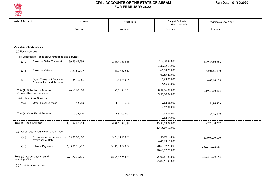

| <b>Heads of Account</b>                             |                                                              | Current            | Progressive         | Budget Estimate/<br>Revised Estimate | Progressive Last Year |
|-----------------------------------------------------|--------------------------------------------------------------|--------------------|---------------------|--------------------------------------|-----------------------|
|                                                     |                                                              | Amount             | Amount              | Amount                               | Amount                |
|                                                     |                                                              |                    |                     |                                      |                       |
| A. GENERAL SERVICES                                 |                                                              |                    |                     |                                      |                       |
| (b) Fiscal Services                                 |                                                              |                    |                     |                                      |                       |
|                                                     | (iii) Collection of Taxes on Commodities and Services        |                    |                     |                                      |                       |
| 2040                                                | Taxes on Sales, Trades etc.                                  | 39, 43, 67, 293    | 2,06,41,61,885      | 7,19,30,88,000<br>8, 20, 73, 14, 000 | 1,29,34,60,266        |
| 2041                                                | Taxes on Vehicles                                            | 3,57,80,717        | 43,77,62,640        | 66,08,23,000<br>67,85,23,000         | 42,01,85,930          |
| 2045                                                | Other Taxes and Duties on<br><b>Commodities and Services</b> | 35,36,066          | 3,84,88,065         | 5,83,07,000<br>5,83,07,000           | 4,07,60,175           |
| Commodities and Services                            | Total(iii) Collection of Taxes on                            | 46,61,67,005       | 2,95,51,44,366      | 8,52,26,08,000<br>9,55,70,04,000     | 2,19,50,00,903        |
| (iv) Other Fiscal Services                          |                                                              |                    |                     |                                      |                       |
| 2047                                                | <b>Other Fiscal Services</b>                                 | 17,53,709          | 1,81,07,404         | 2,62,06,000<br>2,62,34,000           | 1,56,96,879           |
|                                                     | Total(iv) Other Fiscal Services                              | 17,53,709          | 1,81,07,404         | 2,62,06,000<br>2,62,34,000           | 1.56.96.879           |
| Total (b) Fiscal Services                           |                                                              | 1,21,84,80,254     | 6,63,21,31,581      | 13,54,79,08,000<br>15,18,69,15,000   | 5,22,25,10,202        |
|                                                     | (c) Interest payment and servicing of Debt                   |                    |                     |                                      |                       |
| 2048                                                | Appropriation for reduction or<br>avoidance of Debt          | 75,00,00,000       | 3,70,89,17,000      | 4,45,89,17,000<br>4,45,89,17,000     | 1,00,00,00,000        |
| 2049                                                | <b>Interest Payments</b>                                     | 6,49,70,11,810     | 44,95,48,08,868     | 70,63,72,70,000<br>70,63,72,70,000   | 36,73,19,22,153       |
| Total (c) Interest payment and<br>servicing of Debt |                                                              | 7, 24, 70, 11, 810 | 48, 66, 37, 25, 868 | 75,09,61,87,000<br>75,09,61,87,000   | 37, 73, 19, 22, 153   |
| (d) Administrative Services                         |                                                              |                    |                     |                                      |                       |

Page 2 of 19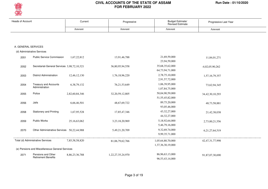

| Heads of Account    |                                                  | Current        | Progressive         | Budget Estimate/<br><b>Revised Estimate</b> | Progressive Last Year |
|---------------------|--------------------------------------------------|----------------|---------------------|---------------------------------------------|-----------------------|
|                     |                                                  | Amount         | Amount              | Amount                                      | Amount                |
|                     |                                                  |                |                     |                                             |                       |
| A. GENERAL SERVICES |                                                  |                |                     |                                             |                       |
|                     | (d) Administrative Services                      |                |                     |                                             |                       |
| 2051                | <b>Public Service Commission</b>                 | 1,67,22,812    | 13,91,46,788        | 21,69,59,000<br>23,94,59,000                | 11,84,01,271          |
| 2052                | Secretariat-General Services 3,98,72,10,321      |                | 36,80,95,94,558     | 35,68,35,62,000<br>64,73,94,71,000          | $-4,02,05,90,262$     |
| 2053                | <b>District Administration</b>                   | 12,46,12,130   | 1,76,18,96,220      | 2,78,75,10,000                              | 1,57,16,79,357        |
| 2054                | <b>Treasury and Accounts</b><br>Administration   | 6, 38, 79, 132 | 76, 21, 53, 649     | 2,91,57,72,000<br>1,06,39,95,000            | 73,62,94,345          |
| 2055                | Police                                           | 2,82,60,84,346 | 32, 20, 59, 12, 805 | 1,07,84,75,000<br>50,04,90,59,000           | 34, 42, 30, 10, 293   |
| 2056                | Jails                                            | 6,66,46,501    | 48,67,69,722        | 51, 55, 45, 82, 000<br>89,75,20,000         | 48,73,58,881          |
| 2058                | <b>Stationery and Printing</b>                   | 1,67,95,528    | 17,85,47,346        | 93,05,46,000<br>43, 32, 27, 000             | 21,42,38,038          |
| 2059                | Public Works                                     | 25,16,63,062   | 3,23,18,20,969      | 44, 32, 27, 000<br>5,18,92,64,000           | 2,73,00,21,556        |
| 2070                | Other Administrative Services 50,22,44,988       |                | 5,49,21,20,709      | 5,46,79,16,000<br>9,32,69,74,000            | 6,21,27,64,519        |
|                     |                                                  |                |                     | 9,99,35,71,000                              |                       |
|                     | Total (d) Administrative Services                | 7,85,58,58,820 | 81,06,79,62,766     | 1,05,64,80,70,000<br>1,37,36,30,19,000      | 42, 47, 31, 77, 998   |
|                     | (e) Pensions and Miscellaneous General Services  |                |                     |                                             |                       |
| 2071                | Pensions and Other<br><b>Retirement Benefits</b> | 8,86,23,36,788 | 1,22,27,35,24,970   | 86,96,63,13,000<br>96, 53, 43, 14, 000      | 91,87,07,30,690       |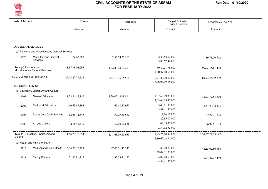

| <b>Heads of Account</b>   |                                                 | Current         | Progressive       | Budget Estimate/<br>Revised Estimate | Progressive Last Year |  |
|---------------------------|-------------------------------------------------|-----------------|-------------------|--------------------------------------|-----------------------|--|
|                           |                                                 | Amount          | Amount            | Amount                               | Amount                |  |
|                           |                                                 |                 |                   |                                      |                       |  |
|                           |                                                 |                 |                   |                                      |                       |  |
| A. GENERAL SERVICES       |                                                 |                 |                   |                                      |                       |  |
|                           | (e) Pensions and Miscellaneous General Services |                 |                   |                                      |                       |  |
| 2075                      | Miscellaneous General                           | 1,74,67,507     | 2,55,69,35,507    | 2,83,58,62,000                       | 16,71,20,752          |  |
|                           | Services                                        |                 |                   | 3,83,67,44,000                       |                       |  |
| Total (e) Pensions and    |                                                 | 8,87,98,04,295  | 1,24,83,04,60,477 | 89, 80, 21, 75, 000                  | 92,03,78,51,442       |  |
|                           | Miscellaneous General Services                  |                 |                   | 1,00,37,10,58,000                    |                       |  |
|                           | Total A. GENERAL SERVICES                       | 25,03,27,79,552 | 2,64,13,36,65,500 | 2,91,86,70,02,000                    | 1,81,73,55,09,299     |  |
|                           |                                                 |                 |                   | 3,36,08,19,65,000                    |                       |  |
| <b>B. SOCIAL SERVICES</b> |                                                 |                 |                   |                                      |                       |  |
|                           | (a) Education, Sports, Art and Culture          |                 |                   |                                      |                       |  |
| 2202                      | <b>General Education</b>                        | 11,28,94,47,146 | 1,39,05,18,19,811 | 1,87,65,19,33,000                    | 1,34,73,77,53,820     |  |
|                           |                                                 |                 |                   | 2,03,64,03,95,000                    |                       |  |
| 2203                      | <b>Technical Education</b>                      | 19,63,67,193    | 1,69,68,80,950    | 3,40,11,90,000                       | 1,54,20,38,325        |  |
|                           |                                                 |                 |                   | 3,41,41,40,000                       |                       |  |
| 2204                      | Sports and Youth Services                       | 12,66,72,545    | 59,05,66,662      | 1,12,16,11,000                       | 62,27,01,804          |  |
|                           |                                                 |                 |                   | 1,22,85,07,000                       |                       |  |
| 2205                      | Art and Culture                                 | 2,95,43,470     | 30,06,99,536      | 1,08,63,55,000                       | 66,97,61,693          |  |
|                           |                                                 |                 |                   | 2,34,32,52,000                       |                       |  |
|                           | Total (a) Education, Sports, Art and            | 11,64,20,30,354 | 1,41,63,99,66,959 | 1,93,26,10,89,000                    | 1,37,57,22,55,642     |  |
| Culture                   |                                                 |                 |                   | 2,10,62,62,94,000                    |                       |  |
|                           | (b) Health and Family Welfare                   |                 |                   |                                      |                       |  |
| 2210                      | Medical and Public Health                       | 6,64,72,10,479  | 47,06,11,42,245   | 61,80,70,77,000                      | 41,13,02,80,366       |  |
|                           |                                                 |                 |                   | 79,04,31,50,000                      |                       |  |
| 2211                      | Family Welfare                                  | 21,60,81,717    | 2,92,33,34,192    | 4,02,48,53,000                       | 2,94,22,07,440        |  |
|                           |                                                 |                 |                   | 4,84,41,57,000                       |                       |  |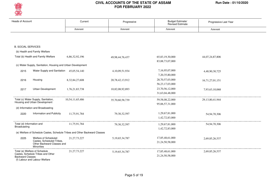

| <b>Heads of Account</b>   |                                                                              | Current                                                                    | Progressive        | Budget Estimate/<br><b>Revised Estimate</b> | Progressive Last Year |
|---------------------------|------------------------------------------------------------------------------|----------------------------------------------------------------------------|--------------------|---------------------------------------------|-----------------------|
|                           |                                                                              | Amount                                                                     | Amount             | Amount                                      | Amount                |
|                           |                                                                              |                                                                            |                    |                                             |                       |
|                           |                                                                              |                                                                            |                    |                                             |                       |
| <b>B. SOCIAL SERVICES</b> |                                                                              |                                                                            |                    |                                             |                       |
|                           | (b) Health and Family Welfare                                                |                                                                            |                    |                                             |                       |
|                           | Total (b) Health and Family Welfare                                          | 6,86,32,92,196                                                             | 49,98,44,76,437    | 65,83,19,30,000                             | 44,07,24,87,806       |
|                           |                                                                              |                                                                            |                    | 83, 88, 73, 07, 000                         |                       |
|                           | (c) Water Supply, Sanitation, Housing and Urban Development                  |                                                                            |                    |                                             |                       |
| 2215                      | Water Supply and Sanitation 45,05,54,140                                     |                                                                            | 4,10,09,51,934     | 7,16,95,07,000                              | 4,48,90,30,725        |
|                           |                                                                              |                                                                            |                    | 7,20,35,80,000                              |                       |
| 2216                      | Housing                                                                      | 8,32,84,27,608                                                             | 20,78,42,13,912    | 28,70,57,03,000                             | 16,71,27,01,151       |
|                           |                                                                              |                                                                            |                    | 56, 23, 17, 03, 000                         |                       |
| 2217                      | Urban Development                                                            | 1,76,21,83,738                                                             | 10,82,08,92,893    | 23,70,56,12,000                             | 7,93,63,10,068        |
|                           |                                                                              |                                                                            |                    | 31,63,04,48,000                             |                       |
|                           | Total (c) Water Supply, Sanitation,                                          | 10,54,11,65,486                                                            | 35,70,60,58,739    | 59,58,08,22,000                             | 29, 13, 80, 41, 944   |
|                           | Housing and Urban Development                                                |                                                                            |                    | 95,06,57,31,000                             |                       |
|                           | (d) Information and Broadcasting                                             |                                                                            |                    |                                             |                       |
| 2220                      | Information and Publicity                                                    | 11,75,91,784                                                               | 79, 30, 32, 597    | 1,29,67,81,000                              | 54,94,70,306          |
|                           |                                                                              |                                                                            |                    | 1,42,72,83,000                              |                       |
| Total (d) Information and |                                                                              | 11,75,91,784                                                               | 79, 30, 32, 597    | 1,29,67,81,000                              | 54,94,70,306          |
| Broadcasting              |                                                                              |                                                                            |                    | 1,42,72,83,000                              |                       |
|                           |                                                                              | (e) Welfare of Schedule Castes, Schedule Tribes and Other Backward Classes |                    |                                             |                       |
| 2225                      | Welfare of Scheduled                                                         | 21, 27, 73, 227                                                            | 5, 19, 65, 34, 787 | 17,85,48,61,000                             | 2,69,85,26,537        |
|                           | Castes, Scheduled Tribes,<br>Other Backward Classes and<br><b>Minorities</b> |                                                                            |                    | 21,24,50,58,000                             |                       |
|                           | Total (e) Welfare of Schedule                                                | 21, 27, 73, 227                                                            | 5, 19, 65, 34, 787 | 17,85,48,61,000                             | 2,69,85,26,537        |
| <b>Backward Classes</b>   | Castes, Schedule Tribes and Other<br>(f) Labour and Labour Welfare           |                                                                            |                    | 21,24,50,58,000                             |                       |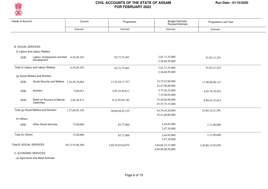

| <b>Heads of Account</b>   |                                             | Current         | Progressive       | Budget Estimate/<br><b>Revised Estimate</b> | Progressive Last Year |
|---------------------------|---------------------------------------------|-----------------|-------------------|---------------------------------------------|-----------------------|
|                           |                                             | Amount          | Amount            | Amount                                      | Amount                |
|                           |                                             |                 |                   |                                             |                       |
| <b>B. SOCIAL SERVICES</b> |                                             |                 |                   |                                             |                       |
|                           | (f) Labour and Labour Welfare               |                 |                   |                                             |                       |
| 2230                      | Labour, Employment and Skill<br>Development | 6,54,48,183     | 82,72,75,401      | 2,01,71,35,000<br>2,26,68,59,000            | 91,82,11,243          |
|                           | Total (f) Labour and Labour Welfare         | 6,54,48,183     | 82,72,75,401      | 2,01,71,35,000<br>2,26,68,59,000            | 91,82,11,243          |
|                           | (g) Social Welfare and Nutrition            |                 |                   |                                             |                       |
| 2235                      | Social Security and Welfare 1,24,56,74,664  |                 | 13,52,10,17,357   | 15,75,47,08,000<br>22,47,96,80,000          | 11,98,88,08,115       |
| 2236                      | Nutrition                                   | 9,04,013        | 4,95,34,30,613    | 5,75,56,22,000<br>7,35,96,05,000            | 4,95,78,78,452        |
| 2245                      | Relief on Account of Natural<br>Calamities  | 2,94,26,473     | 8,12,99,94,185    | 23,28,40,90,000<br>25,57,75,15,000          | 8,89,43,35,014        |
|                           | Total (g) Social Welfare and Nutrition      | 1,27,60,05,150  | 26,60,44,42,155   | 44,79,44,20,000<br>55,41,68,00,000          | 25,84,10,21,581       |
| (h) Others                |                                             |                 |                   |                                             |                       |
| 2250                      | <b>Other Social Services</b>                | 72,90,000       | 85,77,000         | 2,44,83,000<br>2,47,18,000                  | 1,11,90,000           |
| Total (h) Others          |                                             | 72,90,000       | 85,77,000         | 2,44,83,000<br>2,47,18,000                  | 1,11,90,000           |
|                           | Total B. SOCIAL SERVICES                    | 30,72,55,96,380 | 2,60,76,03,64,074 | 3,84,66,15,21,000<br>4,69,96,00,50,000      | 2,40,80,12,05,059     |

C. ECONOMIC SERVICES

(a) Agriculture and Allied Activities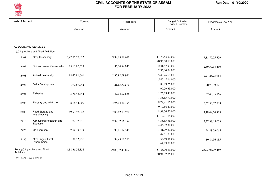

| Heads of Account |                                        | Current         | Progressive     | Budget Estimate/<br>Revised Estimate  | Progressive Last Year |
|------------------|----------------------------------------|-----------------|-----------------|---------------------------------------|-----------------------|
|                  |                                        | Amount          | Amount          | Amount                                | Amount                |
|                  |                                        |                 |                 |                                       |                       |
|                  | C. ECONOMIC SERVICES                   |                 |                 |                                       |                       |
|                  | (a) Agriculture and Allied Activities  |                 |                 |                                       |                       |
| 2401             | Crop Husbandry                         | 3,42,56,57,032  | 9,39,95,98,676  | 17,73,83,57,000<br>20,96,50,10,000    | 7,88,79,75,529        |
| 2402             | Soil and Water Conservation            | 25,13,90,659    | 86, 34, 84, 942 | 2,31,87,93,000<br>2,36,34,79,000      | 2,39,59,34,410        |
| 2403             | Animal Husbandry                       | 18,47,81,661    | 2,35,92,69,991  | 5,43,26,68,000<br>5,45,47,16,000      | 2,77,28,25,964        |
| 2404             | Dairy Development                      | 1,90,69,042     | 21,63,71,593    | 89,79,26,000<br>90,29,33,000          | 20,78,39,021          |
| 2405             | Fisheries                              | 3,71,46,744     | 47,04,02,865    | 1,26,79,43,000<br>1,35,55,97,000      | 62, 43, 35, 866       |
| 2406             | Forestry and Wild Life                 | 38, 18, 44, 000 | 4,95,04,50,394  | 8,79,41,15,000<br>9,19,66,40,000      | 5,62,53,07,538        |
| 2408             | Food Storage and<br>Warehousing        | 49,53,92,647    | 7,08,42,11,970  | 8,99,56,70,000<br>14, 12, 91, 14, 000 | 4,18,49,50,828        |
| 2415             | Agricultural Research and<br>Education | 77,12,536       | 2,32,72,76,792  | 4, 35, 55, 36, 000<br>4,45,92,31,000  | 3,27,38,65,053        |
| 2425             | Co-operation                           | 7,54,19,619     | 93,81,14,349    | 1,41,79,87,000<br>1,47,51,79,000      | 94,88,09,065          |
| 2435             | Other Agricultural<br>Programmes       | 52,12,916       | 39,45,60,292    | 64,40,36,000<br>64,73,77,000          | 10,84,96,185          |
| Activities       | Total (a) Agriculture and Allied       | 4,88,36,26,856  | 29,00,37,41,864 | 51,86,30,31,000<br>60,94,92,76,000    | 28,03,03,39,459       |

(b) Rural Development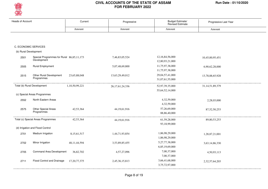

| <b>Heads of Account</b> |                                                          | Current         | Progressive         | Budget Estimate/<br><b>Revised Estimate</b> | Progressive Last Year |
|-------------------------|----------------------------------------------------------|-----------------|---------------------|---------------------------------------------|-----------------------|
|                         |                                                          | Amount          | Amount              | Amount                                      | Amount                |
|                         |                                                          |                 |                     |                                             |                       |
|                         | C. ECONOMIC SERVICES                                     |                 |                     |                                             |                       |
| (b) Rural Development   |                                                          |                 |                     |                                             |                       |
| 2501                    | Special Programmes for Rural 86,85,11,173<br>Development |                 | 7,46,83,05,524      | 12,16,84,56,000<br>12,80,93,21,000          | 10,45,00,95,451       |
| 2505                    | Rural Employment                                         |                 | 5,07,48,69,800      | 11,75,97,38,000<br>11,75,97,38,000          | 6,90,62,28,000        |
| 2515                    | Other Rural Development<br>Programmes                    | 23,65,88,048    | 13,63,29,49,012     | 29,04,57,41,000<br>31,07,61,55,000          | 13,78,88,65,928       |
|                         | Total (b) Rural Development                              | 1,10,50,99,221  | 26, 17, 61, 24, 336 | 52,97,39,35,000<br>55,64,52,14,000          | 31, 14, 51, 89, 379   |
|                         | (c) Special Areas Programmes                             |                 |                     |                                             |                       |
| 2552                    | North Eastern Areas                                      |                 |                     | 4,32,59,000<br>4,32,59,000                  | 2,28,03,000           |
| 2575                    | Other Special Areas<br>Programmes                        | 42,53,364       | 44, 19, 61, 916     | 57,26,69,000<br>88, 86, 40, 000             | 87, 52, 50, 253       |
|                         | Total (c) Special Areas Programmes                       | 42,53,364       | 44, 19, 61, 916     | 61,59,28,000<br>93,18,99,000                | 89, 80, 53, 253       |
|                         | (d) Irrigation and Flood Control                         |                 |                     |                                             |                       |
| 2701                    | Medium Irrigation                                        | 8,15,61,517     | 1,44,71,93,854      | 1,86,98,29,000<br>1,86,98,29,000            | 1,28,87,21,001        |
| 2702                    | Minor Irrigation                                         | 48, 11, 44, 594 | 3,53,89,85,455      | 5,27,77,38,000<br>6,85,19,69,000            | 3,63,14,86,330        |
| 2705                    | <b>Command Area Development</b>                          | 36,82,702       | 4,57,27,096         | 7,00,37,000<br>7,00,37,000                  | 4,50,93,113           |
| 2711                    | Flood Control and Drainage                               | 17, 20, 77, 375 | 2,45,36,15,813      | 3,66,41,68,000<br>3,75,72,97,000            | 2,32,57,64,203        |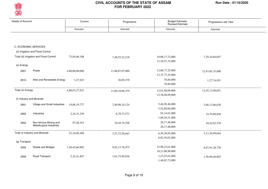

| <b>Heads of Account</b> |                                                    | Current        | Progressive     | Budget Estimate/<br><b>Revised Estimate</b> | Progressive Last Year |
|-------------------------|----------------------------------------------------|----------------|-----------------|---------------------------------------------|-----------------------|
|                         |                                                    | Amount         | Amount          | Amount                                      | Amount                |
|                         |                                                    |                |                 |                                             |                       |
|                         |                                                    |                |                 |                                             |                       |
|                         |                                                    |                |                 |                                             |                       |
|                         | C. ECONOMIC SERVICES                               |                |                 |                                             |                       |
|                         | (d) Irrigation and Flood Control                   |                |                 |                                             |                       |
|                         | Total (d) Irrigation and Flood Control             | 73,84,66,188   | 7,48,55,22,218  | 10,88,17,72,000                             | 7,29,10,64,647        |
|                         |                                                    |                |                 | 12,54,91,32,000                             |                       |
| (e) Energy              |                                                    |                |                 |                                             |                       |
| 2801                    | Power                                              | 4,80,00,00,000 | 11,88,87,07,000 | 12,00,77,25,000                             | 12,43,85,35,000       |
|                         |                                                    |                |                 | 13, 37, 77, 25, 000                         |                       |
| 2810                    | New and Renewable Energy                           | 3,27,923       | 30,99,379       | 70,84,000                                   | 1,27,74,051           |
|                         |                                                    |                |                 | 70,84,000                                   |                       |
| Total (e) Energy        |                                                    | 4,80,03,27,923 | 11,89,18,06,379 | 12,01,48,09,000                             | 12,45,13,09,051       |
|                         |                                                    |                |                 | 13,38,48,09,000                             |                       |
|                         | (f) Industry and Minerals                          |                |                 |                                             |                       |
| 2851                    | Village and Small Industries                       | 19,88,19,777   | 2,40,08,10,124  | 5,46,99,46,000                              | 2,68,12,06,630        |
|                         |                                                    |                |                 | 5,52,89,04,000                              |                       |
| 2852                    | Industries                                         | 2,24,31,239    | 6,79,73,571     | 92,14,01,000                                | 34,76,89,836          |
|                         |                                                    |                |                 | 1,09,29,51,000                              |                       |
| 2853                    | Non-ferrous Mining and<br>Metallurgical Industries | 97,58,353      | 10,44,74,348    | 20,17,48,000                                | 10,42,02,578          |
|                         |                                                    |                |                 | 20,17,48,000                                |                       |
|                         | Total (f) Industry and Minerals                    | 23,10,09,369   | 2,57,32,58,043  | 6,59,30,95,000                              | 3,13,30,99,044        |
|                         |                                                    |                |                 | 6,82,36,03,000                              |                       |
| (g) Transport           |                                                    |                |                 |                                             |                       |
| 3054                    | Roads and Bridges                                  | 1,20,45,66,902 | 9,02,15,76,475  | 15,90,23,61,000                             | 8,67,91,28,730        |
|                         |                                                    |                |                 | 18,21,08,98,000                             |                       |
| 3055                    | Road Transport                                     | 5,25,41,407    | 1,01,75,99,036  | 1,23,25,61,000                              | 1,36,00,46,603        |
|                         |                                                    |                |                 | 1,46,82,72,000                              |                       |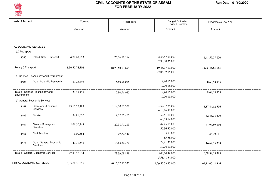

| <b>Heads of Account</b> |                                        | Current         | Progressive         | Budget Estimate/<br>Revised Estimate | Progressive Last Year |  |
|-------------------------|----------------------------------------|-----------------|---------------------|--------------------------------------|-----------------------|--|
|                         |                                        | Amount          | Amount              | Amount                               | Amount                |  |
|                         |                                        |                 |                     |                                      |                       |  |
|                         | C. ECONOMIC SERVICES                   |                 |                     |                                      |                       |  |
| (g) Transport           |                                        |                 |                     |                                      |                       |  |
| 3056                    | <b>Inland Water Transport</b>          | 4,79,65,993     | 75, 76, 96, 184     | 2,34,87,91,000                       | 1,41,55,07,820        |  |
|                         |                                        |                 |                     | 2,38,00,36,000                       |                       |  |
| Total (g) Transport     |                                        | 1,30,50,74,302  | 10,79,68,71,695     | 19,48,37,13,000                      | 11,45,46,83,153       |  |
|                         |                                        |                 |                     | 22,05,92,06,000                      |                       |  |
|                         | (i) Science Technology and Environment |                 |                     |                                      |                       |  |
| 3425                    | Other Scientific Research              | 39,28,498       | 5,80,96,025         | 14,90,15,000                         | 8,68,68,975           |  |
|                         |                                        |                 |                     | 19,90,15,000                         |                       |  |
|                         | Total (i) Science Technology and       | 39,28,498       | 5,80,96,025         | 14,90,15,000                         | 8,68,68,975           |  |
| Environment             |                                        |                 |                     | 19,90,15,000                         |                       |  |
|                         | (j) General Economic Services          |                 |                     |                                      |                       |  |
| 3451                    | Secretariat-Economic                   | 23, 17, 27, 189 | 1,19,20,02,356      | 3,62,37,28,000                       | 5,87,44,12,556        |  |
|                         | Services                               |                 |                     | 4,10,16,97,000                       |                       |  |
| 3452                    | Tourism                                | 54,81,030       | 9,12,07,465         | 59,61,11,000                         | 32,46,98,600          |  |
|                         |                                        |                 |                     | 60,03,14,000                         |                       |  |
| 3454                    | Census Surveys and                     | 2,61,50,748     | 29,98,91,219        | 47, 45, 15, 000                      | 31,93,89,310          |  |
|                         | Statistics                             |                 |                     | 50,36,52,000                         |                       |  |
| 3456                    | <b>Civil Supplies</b>                  | 1,00,364        | 39,77,449           | 85,58,000                            | 46,79,611             |  |
|                         |                                        |                 |                     | 85,58,000                            |                       |  |
| 3475                    | Other General Economic                 | 1,49,31,543     | 14,68,30,370        | 29,91,37,000                         | 16,62,55,308          |  |
|                         | Services                               |                 |                     | 30,06,13,000                         |                       |  |
|                         | Total (j) General Economic Services    | 27,83,90,874    | 1,73,39,08,859      | 5,00,20,49,000                       | 6,68,94,35,385        |  |
|                         |                                        |                 |                     | 5,51,48,34,000                       |                       |  |
|                         | Total C. ECONOMIC SERVICES             | 13,35,01,76,595 | 90, 16, 12, 91, 335 | 1,59,57,73,47,000                    | 1,01,18,00,42,346     |  |
|                         |                                        |                 |                     |                                      |                       |  |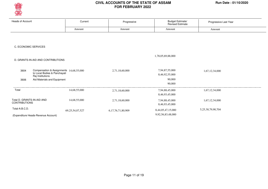

| <b>Heads of Account</b>                                 | Current                                 | Progressive       | Budget Estimate/<br>Revised Estimate | Progressive Last Year |  |
|---------------------------------------------------------|-----------------------------------------|-------------------|--------------------------------------|-----------------------|--|
|                                                         | Amount                                  | Amount            | Amount                               | Amount                |  |
|                                                         |                                         |                   |                                      |                       |  |
|                                                         |                                         |                   |                                      |                       |  |
| C. ECONOMIC SERVICES                                    |                                         |                   |                                      |                       |  |
|                                                         |                                         |                   |                                      |                       |  |
|                                                         |                                         |                   | 1,78,05,69,88,000                    |                       |  |
| D. GRANTS-IN-AID AND CONTRIBUTIONS                      |                                         |                   |                                      |                       |  |
|                                                         |                                         |                   |                                      |                       |  |
| 3604<br>to Local Bodies & Panchayati                    | Compensation & Assignments 14,68,55,000 | 2,71,18,60,000    | 7,94,87,55,000<br>8,46,92,55,000     | 1,67,12,34,000        |  |
| Raj Institutions<br>Aid Materials and Equipment<br>3606 |                                         |                   | 90,000                               |                       |  |
|                                                         |                                         |                   | 90,000                               |                       |  |
| Total                                                   | 14,68,55,000                            | 2,71,18,60,000    | 7,94,88,45,000                       | 1,67,12,34,000        |  |
|                                                         |                                         |                   | 8,46,93,45,000                       |                       |  |
| Total D. GRANTS-IN-AID AND                              | 14,68,55,000                            | 2,71,18,60,000    | 7,94,88,45,000                       | 1,67,12,34,000        |  |
| <b>CONTRIBUTIONS</b>                                    |                                         |                   | 8,46,93,45,000                       |                       |  |
| Total-A.B.C.D.                                          | 69, 25, 54, 07, 527                     | 6,17,76,71,80,909 | 8,44,05,47,15,000                    | 5,25,38,79,90,704     |  |
| (Expenditure Heads-Revenue Account)                     |                                         |                   | 9,92,56,83,48,000                    |                       |  |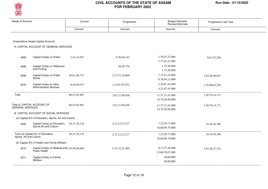

| <b>Heads of Account</b> |                                                           | Current         | Progressive        | Budget Estimate/<br><b>Revised Estimate</b> | Progressive Last Year |
|-------------------------|-----------------------------------------------------------|-----------------|--------------------|---------------------------------------------|-----------------------|
|                         |                                                           | Amount          | Amount             | Amount                                      | Amount                |
|                         |                                                           |                 |                    |                                             |                       |
|                         | (Expenditure Heads-Capital Account)                       |                 |                    |                                             |                       |
|                         | A. CAPITAL ACCOUNT OF GENERAL SERVICES                    |                 |                    |                                             |                       |
|                         |                                                           |                 |                    |                                             |                       |
| 4055                    | Capital Outlay on Police                                  | 1,41,21,051     | 6, 36, 46, 143     | 1,76,97,27,000                              | 8,61,52,284           |
|                         |                                                           |                 |                    | 1,77,02,27,000                              |                       |
| 4058                    | Capital Outlay on Stationery                              |                 | 28,30,774          | 1,75,20,000                                 |                       |
|                         | and Printing                                              |                 |                    | 1,75,20,000                                 |                       |
| 4059                    | Capital Outlay on Public<br>Works                         | 50,61,58,777    | 2,37,71,24,869     | 7,37,61,53,000                              | 1,82,26,98,631        |
|                         |                                                           |                 |                    | 8,78,64,11,000                              |                       |
| 4070                    | Capital Outlay on other<br><b>Administrative Services</b> | 8,45,04,073     | 1,22,91,97,672     | 2,20,87,41,000                              | 1,29,90,63,256        |
|                         |                                                           |                 |                    | 4,21,87,41,000                              |                       |
| Total                   |                                                           | 60,47,83,901    | 3,67,27,99,458     | 11, 37, 21, 41, 000                         | 3, 20, 79, 14, 171    |
|                         |                                                           |                 |                    | 14,79,28,99,000                             |                       |
|                         | Total A. CAPITAL ACCOUNT OF                               | 60,47,83,901    | 3,67,27,99,458     | 11,37,21,41,000                             | 3, 20, 79, 14, 171    |
| <b>GENERAL SERVICES</b> |                                                           |                 |                    | 14,79,28,99,000                             |                       |
|                         | B. CAPITAL ACCOUNT OF SOCIAL SERVICES                     |                 |                    |                                             |                       |
|                         | (a) Capital A/C of Education, Sports, Art and Culture     |                 |                    |                                             |                       |
| 4202                    | Capital Outlay on Education,                              | 30.33.78.119    | 2, 37, 23, 27, 277 | 7,22,56,71,000                              | 19, 18, 54, 366       |
|                         | Sports, Art and Culture                                   |                 |                    | 10,68,09,79,000                             |                       |
|                         | Total (a) Capital A/C of Education,                       | 30, 33, 78, 119 | 2, 37, 23, 27, 277 | 7,22,56,71,000                              | 19, 18, 54, 366       |
| Sports, Art and Culture |                                                           |                 |                    | 10,68,09,79,000                             |                       |
|                         | (b) Capital A/C of Health and Family Welfare              |                 |                    |                                             |                       |
| 4210                    | Capital Outlay on Medical and1,45,58,96,068               |                 | 5, 15, 32, 31, 490 | 8,13,57,28,000                              | 3, 32, 38, 37, 332    |
|                         | Public Health                                             |                 |                    | 13,60,70,67,000                             |                       |
| 4211                    | Capital Outlay on Family<br>Welfare                       |                 |                    | 40,00,000                                   |                       |
|                         |                                                           |                 |                    | 40,00,000                                   |                       |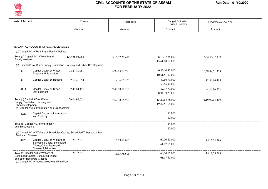

| <b>Heads of Account</b> |                                                                                                                                                            | Current                                                                    | Progressive        | <b>Budget Estimate/</b><br><b>Revised Estimate</b> | Progressive Last Year |
|-------------------------|------------------------------------------------------------------------------------------------------------------------------------------------------------|----------------------------------------------------------------------------|--------------------|----------------------------------------------------|-----------------------|
|                         |                                                                                                                                                            | Amount                                                                     | Amount             | Amount                                             | Amount                |
|                         |                                                                                                                                                            |                                                                            |                    |                                                    |                       |
|                         | B. CAPITAL ACCOUNT OF SOCIAL SERVICES                                                                                                                      |                                                                            |                    |                                                    |                       |
|                         | (b) Capital A/C of Health and Family Welfare                                                                                                               |                                                                            |                    |                                                    |                       |
| <b>Family Welfare</b>   | Total (b) Capital A/C of Health and                                                                                                                        | 1,45,58,96,068                                                             | 5, 15, 32, 31, 490 | 8,13,97,28,000<br>13,61,10,67,000                  | 3, 32, 38, 37, 332    |
|                         |                                                                                                                                                            | (c) Capital A/C of Water Supply, Sanitation, Housing and Urban Development |                    |                                                    |                       |
| 4215                    | Capital Outlay on Water<br>Supply and Sanitation                                                                                                           | 24,49,45,786                                                               | 4,99,43,81,953     | 6,83,60,37,000<br>10,61,51,57,000                  | 10,58,89,71,309       |
| 4216                    | Capital Outlay on Housing                                                                                                                                  | 2,17,46,054                                                                | 17,36,05,229       | 49,66,91,000<br>53,66,91,000                       | 12,84,16,415          |
| 4217                    | Capital Outlay on Urban<br>Development                                                                                                                     | 2,40,04,191                                                                | 2,45,58,18,769     | 7,87,37,70,000<br>8, 34, 33, 20, 000               | 44, 26, 30, 772       |
| Urban Development       | Total (c) Capital A/C of Water<br>Supply, Sanitation, Housing and<br>(d) Capital A/C of Information and Broadcasting                                       | 29,06,96,031                                                               | 7,62,38,05,951     | 15,20,64,98,000<br>19,49,51,68,000                 | 11,16,00,18,496       |
| 4220                    | Capital Outlay on Information<br>and Publicity                                                                                                             |                                                                            |                    | 80,000<br>80,000                                   |                       |
| and Broadcasting        | Total (d) Capital A/C of Information                                                                                                                       |                                                                            |                    | 80,000<br>80,000                                   |                       |
| Backward Classes        |                                                                                                                                                            | (e) Capital A/C of Welfare of Scheduled Castes, Scheduled Tribes and other |                    |                                                    |                       |
| 4225                    | Capital Outlay on Welfare of<br>Scheduled Caste, Scheduled<br>Tribes, Other Backward<br><b>Classes &amp; Minorities</b>                                    | 1,20,12,576                                                                | 16,03,78,605       | 60,00,65,000<br>61,17,65,000                       | 15, 12, 78, 789       |
|                         | Total (e) Capital A/C of Welfare of<br>Scheduled Castes, Scheduled Tribes<br>and other Backward Classes<br>(g) Capital A/C of Social Welfare and Nutrition | 1,20,12,576                                                                | 16,03,78,605       | 60,00,65,000<br>61,17,65,000                       | 15, 12, 78, 789       |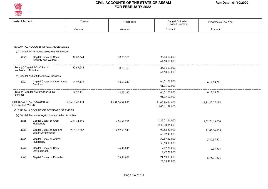

| <b>Heads of Account</b>                                  | Current        | Progressive         | <b>Budget Estimate/</b><br><b>Revised Estimate</b> | Progressive Last Year |  |
|----------------------------------------------------------|----------------|---------------------|----------------------------------------------------|-----------------------|--|
|                                                          | Amount         | Amount              | Amount                                             | Amount                |  |
|                                                          |                |                     |                                                    |                       |  |
|                                                          |                |                     |                                                    |                       |  |
| B. CAPITAL ACCOUNT OF SOCIAL SERVICES                    |                |                     |                                                    |                       |  |
| (g) Capital A/C of Social Welfare and Nutrition          |                |                     |                                                    |                       |  |
|                                                          |                |                     |                                                    |                       |  |
| Capital Outlay on Social<br>4235<br>Security and Welfare | 32,67,244      | 30,53,307           | 28, 18, 17, 000                                    |                       |  |
|                                                          |                |                     | 64, 68, 17, 000                                    |                       |  |
| Total (g) Capital A/C of Social<br>Welfare and Nutrition | 32,67,244      | 30,53,307           | 28, 18, 17, 000                                    |                       |  |
|                                                          |                |                     | 64, 68, 17, 000                                    |                       |  |
| (h) Capital A/C of Other Social Services                 |                |                     |                                                    |                       |  |
| Capital Outlay on Other Social<br>4250                   | 14,97,136      | 48,93,242           | 60,51,02,000                                       | 6,12,68,211           |  |
| <b>Services</b>                                          |                |                     | 61,03,02,000                                       |                       |  |
| Total (h) Capital A/C of Other Social                    | 14,97,136      | 48,93,242           | 60,51,02,000                                       | 6,12,68,211           |  |
| Services                                                 |                |                     | 61,03,02,000                                       |                       |  |
| Total B. CAPITAL ACCOUNT OF                              | 2,06,67,47,174 | 15, 31, 76, 89, 872 | 32,05,89,61,000                                    | 14,88,82,57,194       |  |
| SOCIAL SERVICES                                          |                |                     | 45,65,61,78,000                                    |                       |  |
| C. CAPITAL ACCOUNT OF ECONOMIC SERVICES                  |                |                     |                                                    |                       |  |
| (a) Capital Account of Agriculture and Allied Activities |                |                     |                                                    |                       |  |
| Capital Outlay on Crop<br>4401                           | 6,80,24,459    | 7,66,98,916         | 2,29,21,96,000                                     | 1,52,74,63,050        |  |
| Husbandry                                                |                |                     | 2,30,00,86,000                                     |                       |  |
| Capital Outlay on Soil and<br>4402                       | 2,65,10,262    | 14,67,93,947        | 60,82,40,000                                       | 31,62,00,675          |  |
| <b>Water Conservation</b>                                |                |                     | 60,82,40,000                                       |                       |  |
| Capital Outlay on Animal<br>4403                         |                |                     | 57,67,82,000                                       | 5,49,37,571           |  |
| Husbandry                                                |                |                     | 58,68,83,000                                       |                       |  |
| Capital Outlay on Dairy<br>4404                          |                | 46,46,845           | 7,47,21,000                                        | 7,13,593              |  |
| Development                                              |                |                     | 7,47,21,000                                        |                       |  |
| Capital Outlay on Fisheries<br>4405                      |                | 58,71,960           | 21,63,80,000                                       | 8,75,01,523           |  |
|                                                          |                |                     | 22,08,31,000                                       |                       |  |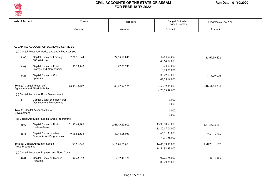

| <b>Heads of Account</b> |                                                                   | Current      | Progressive     | Budget Estimate/<br><b>Revised Estimate</b> | Progressive Last Year |  |
|-------------------------|-------------------------------------------------------------------|--------------|-----------------|---------------------------------------------|-----------------------|--|
|                         |                                                                   | Amount       | Amount          | Amount                                      | Amount                |  |
|                         |                                                                   |              |                 |                                             |                       |  |
|                         | C. CAPITAL ACCOUNT OF ECONOMIC SERVICES                           |              |                 |                                             |                       |  |
|                         | (a) Capital Account of Agriculture and Allied Activities          |              |                 |                                             |                       |  |
| 4406                    | Capital Outlay on Forestry<br>and Wild Life                       | 2,01,26,944  | 24, 55, 18, 845 | 42,64,02,000<br>45,64,02,000                | 13,65,39,422          |  |
| 4408                    | Capital Outlay on Food<br>Storage and Warehousing                 | 97, 53, 742  | 97, 53, 742     | 3,23,07,000<br>3,23,07,000                  |                       |  |
| 4425                    | Capital Outlay on Co-<br>operation                                |              |                 | 38,22,10,000<br>42,78,69,000                | 4,18,29,000           |  |
|                         | Total (a) Capital Account of<br>Agriculture and Allied Activities | 12,44,15,407 | 48,92,84,255    | 4,60,92,38,000<br>4,70,73,39,000            | 2,16,51,84,834        |  |
|                         | (b) Capital Account of Rural Development                          |              |                 |                                             |                       |  |
| 4515                    | Capital Outlay on other Rural<br>Devalopment Programmes           |              |                 | 1,000<br>1,000                              |                       |  |
| Development             | Total (b) Capital Account of Rural                                |              |                 | 1,000<br>1,000                              |                       |  |
|                         | (c) Capital Account of Special Areas Programme                    |              |                 |                                             |                       |  |
| 4552                    | Capital Outlay on North<br>Eastern Areas                          | 21,87,68,992 | 2,63,45,89,905  | 13,38,58,59,000<br>13,80,17,01,000          | 1,37,56,96,111        |  |
| 4575                    | Capital Outlay on other<br>Special Areas Programmes               | 9,16,82,536  | 49,44,18,059    | 66,51,38,000<br>74,71,38,000                | 32,68,95,046          |  |
| Areas Programme         | Total (c) Capital Account of Special                              | 31,04,51,528 | 3,12,90,07,964  | 14,05,09,97,000<br>14,54,88,39,000          | 1,70,25,91,157        |  |
|                         | (d) Capital Account of Irrigation and Flood Control               |              |                 |                                             |                       |  |
| 4701                    | Capital Outlay on Medium<br>Irrigation                            | 94,43,853    | 2,92,40,730     | 1,09,23,75,000<br>1,09,23,75,000            | 2,51,42,893           |  |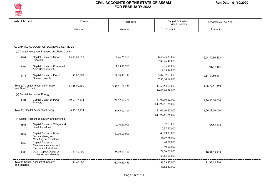

| <b>Heads of Account</b> |                                                                             | Current         | Progressive     | Budget Estimate/<br><b>Revised Estimate</b> | Progressive Last Year |
|-------------------------|-----------------------------------------------------------------------------|-----------------|-----------------|---------------------------------------------|-----------------------|
|                         |                                                                             | Amount          | Amount          | Amount                                      | Amount                |
|                         |                                                                             |                 |                 |                                             |                       |
|                         | C. CAPITAL ACCOUNT OF ECONOMIC SERVICES                                     |                 |                 |                                             |                       |
|                         | (d) Capital Account of Irrigation and Flood Control                         |                 |                 |                                             |                       |
| 4702                    | Capital Outlay on Minor<br>Irrigation                                       | 15,53,65,995    | 1,17,46,25,569  | 6,54,26,23,000<br>7,89,26,41,000            | 2,04,79,80,493        |
| 4705                    | Capital Outlay on Command<br>Area Development                               |                 | 11, 15, 71, 711 | 12,05,94,000<br>12,05,94,000                | 1,61,47,453           |
| 4711                    | Capital Outlay on Flood<br><b>Control Projects</b>                          | 80,80,602       | 2,21,16,71,126  | 5,87,97,69,000<br>7,33,30,69,000            | 2,17,84,80,511        |
| and Flood Control       | Total (d) Capital Account of Irrigation                                     | 17,28,90,450    | 3,52,71,09,136  | 13,63,53,61,000<br>16,43,86,79,000          | 4, 26, 77, 51, 350    |
|                         | (e) Capital Account of Energy                                               |                 |                 |                                             |                       |
| 4801                    | Capital Outlay on Power<br>Projects                                         | 49, 57, 12, 424 | 1,24,57,12,424  | 31,09,10,82,000<br>1,14,99,81,78,000        | 1,26,83,00,000        |
|                         | Total (e) Capital Account of Energy                                         | 49, 57, 12, 424 | 1,24,57,12,424  | 31,09,10,82,000<br>1,14,99,81,78,000        | 1,26,83,00,000        |
|                         | (f) Capital Account of Industry and Minerals                                |                 |                 |                                             |                       |
| 4851                    | Capital Outlay on Village and<br>Small Industries                           |                 | 2,40,65,009     | 15,37,60,000<br>15,37,60,000                | 1,65,54,872           |
| 4853                    | Capital Outlay on Non-<br>ferrous Mining and<br>Metallurgical Industries    |                 | 40,00,00,000    | 43,19,78,000<br>43, 19, 78, 000             |                       |
| 4859                    | Capital Outlay on<br>Telecommunication and<br><b>Electronics Industries</b> |                 |                 | 40,01,000<br>40,01,000                      |                       |
| 4885                    | Other Capital Outlay on<br><b>Industries and Minerals</b>                   | 1,89,40,000     | 25,09,21,450    | 79,76,03,000<br>84,65,01,000                | 10,31,63,838          |
| and Minerals            | Total (f) Capital Account of Industry                                       | 1,89,40,000     | 67, 49, 86, 459 | 1,38,73,42,000<br>1,43,62,40,000            | 11,97,18,710          |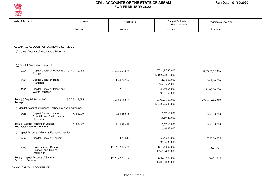

| <b>Heads of Account</b> |                                                                     | Current        | Progressive         | Budget Estimate/<br>Revised Estimate     | Progressive Last Year |
|-------------------------|---------------------------------------------------------------------|----------------|---------------------|------------------------------------------|-----------------------|
|                         |                                                                     | Amount         | Amount              | Amount                                   | Amount                |
|                         |                                                                     |                |                     |                                          |                       |
|                         | C. CAPITAL ACCOUNT OF ECONOMIC SERVICES                             |                |                     |                                          |                       |
|                         | (f) Capital Account of Industry and Minerals                        |                |                     |                                          |                       |
|                         | (g) Capital Account of Transport                                    |                |                     |                                          |                       |
| 5054                    | Capital Outlay on Roads and 8,77,61,15,088<br><b>Bridges</b>        |                | 63,52,26,99,086     | 77, 14, 87, 37, 000<br>1,00,22,08,17,000 | 57, 33, 27, 72, 396   |
| 5055                    | Capital Outlay on Road<br>Transport                                 |                | 1,44,24,972         | 11,18,09,000<br>2,67,15,55,000           | 3,49,60,000           |
| 5056                    | Capital Outlay on Inland and<br>Water Transport                     |                | 72,00,750           | 80,46,35,000<br>90,81,59,000             | 12,00,00,000          |
| Transport               | Total (g) Capital Account of                                        | 8,77,61,15,088 | 63, 54, 43, 24, 808 | 78,06,51,81,000<br>1,03,80,05,31,000     | 57,48,77,32,396       |
|                         | (i) Capital Account of Science Technology and Environment           |                |                     |                                          |                       |
| 5425                    | Capital Outlay on Other<br>Scientific and Environmental<br>Research | 71,68,007      | 9,64,48,698         | 16,57,61,000<br>16,69,29,000             | 3,58,38,788           |
|                         | Total (i) Capital Account of Science<br>Technology and Environment  | 71,68,007      | 9,64,48,698         | 16,57,61,000<br>16,69,29,000             | 3,58,38,788           |
|                         | (j) Capital Account of General Economic Services                    |                |                     |                                          |                       |
| 5452                    | Capital Outlay on Tourism                                           |                | 3,59,37,642         | 30,53,97,000<br>36,86,39,000             | 7,59,29,875           |
| 5465                    | Investments in General<br>Financial and Trading<br>Institutions     |                | 12,16,87,99,662     | 8,16,84,00,000<br>12,66,84,00,000        | 8,24,957              |
| Economic Services       | Total (j) Capital Account of General                                |                | 12, 20, 47, 37, 304 | 8,47,37,97,000<br>13.03.70.39.000        | 7,67,54,832           |

Total C. CAPITAL ACCOUNT OF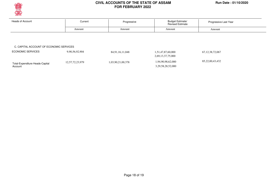

Account

#### **CIVIL ACCOUNTS OF THE STATE OF ASSAM Run Date : 01/10/2020 FOR FEBRUARY 2022**

| <b>Heads of Account</b>                 | Current        | Progressive     | <b>Budget Estimate/</b><br><b>Revised Estimate</b> | Progressive Last Year |
|-----------------------------------------|----------------|-----------------|----------------------------------------------------|-----------------------|
|                                         | Amount         | Amount          | Amount                                             | Amount                |
|                                         |                |                 |                                                    |                       |
|                                         |                |                 |                                                    |                       |
|                                         |                |                 |                                                    |                       |
| C. CAPITAL ACCOUNT OF ECONOMIC SERVICES |                |                 |                                                    |                       |
| <b>ECONOMIC SERVICES</b>                | 9,90,56,92,904 | 84,91,16,11,048 | 1,51,47,87,60,000                                  | 67, 12, 38, 72, 067   |
|                                         |                |                 | 2,69,13,37,75,000                                  |                       |

3,29,58,28,52,000

Page 18 of 19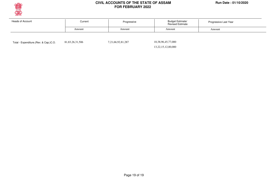

| Heads of Account | Current | Progressive | <b>Budget Estimate/</b><br><b>Revised Estimate</b> | Progressive Last Year |
|------------------|---------|-------------|----------------------------------------------------|-----------------------|
|                  | Amount  | Amount      | Amount                                             | Amount                |
|                  |         |             |                                                    |                       |

Total - Expenditure.(Rev. & Cap.)C.O. 81,83,26,31,506 7,21,66,92,81,287

 10,38,96,45,77,000 13,22,15,12,00,000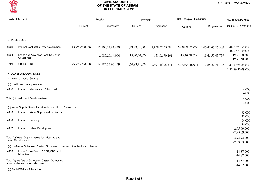

| <b>Heads of Account</b> |                                                                              | Receipt         |                  | Payment        |                  | Net Receipts(Plus/Minus) |                                            | Net Budget/Revised                                                                     |  |
|-------------------------|------------------------------------------------------------------------------|-----------------|------------------|----------------|------------------|--------------------------|--------------------------------------------|----------------------------------------------------------------------------------------|--|
|                         |                                                                              | Current         | Progressive      | Current        | Progressive      | Current                  | Progressive                                | Receipts(+)/Payment(-)                                                                 |  |
|                         |                                                                              |                 |                  |                |                  |                          |                                            |                                                                                        |  |
|                         | E. PUBLIC DEBT                                                               |                 |                  |                |                  |                          |                                            |                                                                                        |  |
| 6003                    | Internal Debt of the State Government                                        | 25,87,82,78,000 | 12,900,17,82,449 | 1,49,43,01,000 | 2,858,52,55,080  |                          |                                            | 24, 38, 39, 77, 000 1, 00, 41, 65, 27, 369 1, 48, 09, 21, 59, 000<br>1,48,09,21,59,000 |  |
| 6004                    | Loans and Advances from the Central<br>Government                            |                 | 2,085,20,14,000  | 15,40,30,029   | 138, 62, 70, 261 | $-15,40,30,029$          | 19,46,57,43,739                            | $-19,91,50,000$<br>$-19,91,50,000$                                                     |  |
|                         | Total E. PUBLIC DEBT                                                         | 25,87,82,78,000 | 14,985,37,96,449 | 1,64,83,31,029 | 2,997,15,25,341  |                          | 24, 22, 99, 46, 971 1, 19, 88, 22, 71, 108 | 1,47,89,30,09,000<br>1,47,89,30,09,000                                                 |  |
|                         | F. LOANS AND ADVANCES                                                        |                 |                  |                |                  |                          |                                            |                                                                                        |  |
|                         | 1. Loans for Social Service                                                  |                 |                  |                |                  |                          |                                            |                                                                                        |  |
|                         | (b) Health and Family Welfare                                                |                 |                  |                |                  |                          |                                            |                                                                                        |  |
| 6210                    | Loans for Medical and Public Health                                          |                 |                  |                |                  |                          |                                            | 4,000<br>4,000                                                                         |  |
|                         | Total (b) Health and Family Welfare                                          |                 |                  |                |                  |                          |                                            | 4,000                                                                                  |  |
|                         | (c) Water Supply, Sanitation, Housing and Urban Development                  |                 |                  |                |                  |                          |                                            | 4,000                                                                                  |  |
| 6215                    | Loans for Water Supply and Sanitation                                        |                 |                  |                |                  |                          |                                            | 32,000                                                                                 |  |
|                         |                                                                              |                 |                  |                |                  |                          |                                            | 32,000                                                                                 |  |
| 6216                    | Loans for Housing                                                            |                 |                  |                |                  |                          |                                            | 84,000<br>84,000                                                                       |  |
| 6217                    | Loans for Urban Development                                                  |                 |                  |                |                  |                          |                                            | $-2,95,09,000$<br>$-2,95,09,000$                                                       |  |
|                         | Total (c) Water Supply, Sanitation, Housing and<br>Urban Development         |                 |                  |                |                  |                          |                                            | $-2,93,93,000$                                                                         |  |
|                         |                                                                              |                 |                  |                |                  |                          |                                            | $-2,93,93,000$                                                                         |  |
|                         | (e) Welfare of Scheduled Castes, Scheduled tribes and other backward classes |                 |                  |                |                  |                          |                                            |                                                                                        |  |
| 6225                    | Loans for Welfare of SC, ST, OBC and<br><b>Minorities</b>                    |                 |                  |                |                  |                          |                                            | $-14,87,000$<br>$-14,87,000$                                                           |  |
|                         | Total (e) Welfare of Scheduled Castes, Scheduled                             |                 |                  |                |                  |                          |                                            | $-14,87,000$                                                                           |  |
|                         | tribes and other backward classes                                            |                 |                  |                |                  |                          |                                            | $-14,87,000$                                                                           |  |

(g) Social Welfare & Nutrition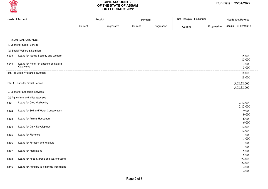

| <b>Heads of Account</b> |                                               |         | Receipt     | Payment |             | Net Receipts(Plus/Minus) |             | Net Budget/Revised     |  |
|-------------------------|-----------------------------------------------|---------|-------------|---------|-------------|--------------------------|-------------|------------------------|--|
|                         |                                               | Current | Progressive | Current | Progressive | Current                  | Progressive | Receipts(+)/Payment(-) |  |
|                         |                                               |         |             |         |             |                          |             |                        |  |
|                         | F. LOANS AND ADVANCES                         |         |             |         |             |                          |             |                        |  |
|                         | 1. Loans for Social Service                   |         |             |         |             |                          |             |                        |  |
|                         | (g) Social Welfare & Nutrition                |         |             |         |             |                          |             |                        |  |
| 6235                    | Loans for Social Security and Welfare         |         |             |         |             |                          |             | 15,000                 |  |
|                         |                                               |         |             |         |             |                          |             | 15,000                 |  |
| 6245                    | Loans for Releif on account of Natural        |         |             |         |             |                          |             | 3,000                  |  |
|                         | Calamities                                    |         |             |         |             |                          |             | 3,000                  |  |
|                         | Total (g) Social Welfare & Nutrition          |         |             |         |             |                          |             | 18,000                 |  |
|                         |                                               |         |             |         |             |                          |             | 18,000                 |  |
|                         | Total 1. Loans for Social Service             |         |             |         |             |                          |             | $-3,08,58,000$         |  |
|                         |                                               |         |             |         |             |                          |             | $-3,08,58,000$         |  |
|                         | 2. Loans for Economic Services                |         |             |         |             |                          |             |                        |  |
|                         | (a) Agriculture and allied activities         |         |             |         |             |                          |             |                        |  |
| 6401                    | Loans for Crop Husbandry                      |         |             |         |             |                          |             | 2,12,000               |  |
|                         |                                               |         |             |         |             |                          |             | 2,12,000               |  |
| 6402                    | Loans for Soil and Water Conservation         |         |             |         |             |                          |             | 9,000                  |  |
|                         |                                               |         |             |         |             |                          |             | 9,000                  |  |
| 6403                    | Loans for Animal Husbandry                    |         |             |         |             |                          |             | 6,000                  |  |
|                         |                                               |         |             |         |             |                          |             | 6,000                  |  |
| 6404                    | Loans for Dairy Development                   |         |             |         |             |                          |             | 12,000                 |  |
|                         |                                               |         |             |         |             |                          |             | 12,000                 |  |
| 6405                    | Loans for Fisheries                           |         |             |         |             |                          |             | 1,000                  |  |
| 6406                    | Loans for Forestry and Wild Life              |         |             |         |             |                          |             | 1,000<br>1,000         |  |
|                         |                                               |         |             |         |             |                          |             | 1,000                  |  |
| 6407                    | Loans for Plantations                         |         |             |         |             |                          |             | 5,000                  |  |
|                         |                                               |         |             |         |             |                          |             | 5,000                  |  |
| 6408                    | Loans for Food Storage and Warehousing        |         |             |         |             |                          |             | 22,000                 |  |
|                         |                                               |         |             |         |             |                          |             | 22,000                 |  |
| 6416                    | Loans for Agricultural Financial Institutions |         |             |         |             |                          |             | 2,000                  |  |
|                         |                                               |         |             |         |             |                          |             | 2,000                  |  |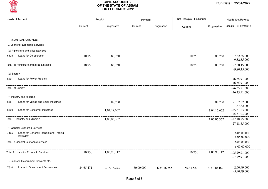

| <b>Heads of Account</b>                         |           | Receipt     | Payment   |             | Net Receipts(Plus/Minus) |                | Net Budget/Revised                 |
|-------------------------------------------------|-----------|-------------|-----------|-------------|--------------------------|----------------|------------------------------------|
|                                                 | Current   | Progressive | Current   | Progressive | Current                  | Progressive    | Receipts(+)/Payment(-)             |
|                                                 |           |             |           |             |                          |                |                                    |
| F. LOANS AND ADVANCES                           |           |             |           |             |                          |                |                                    |
| 2. Loans for Economic Services                  |           |             |           |             |                          |                |                                    |
| (a) Agriculture and allied activities           |           |             |           |             |                          |                |                                    |
| Loans for Co-operation<br>6425                  | 10,750    | 83,750      |           |             | 10,750                   | 83,750         | $-7,82,85,000$<br>$-9,82,85,000$   |
| Total (a) Agriculture and allied activities     | 10,750    | 83,750      |           |             | 10,750                   | 83,750         | $-7,80,15,000$                     |
|                                                 |           |             |           |             |                          |                | $-9,80,15,000$                     |
| (e) Energy                                      |           |             |           |             |                          |                |                                    |
| Loans for Power Projects<br>6801                |           |             |           |             |                          |                | $-76,35,91,000$                    |
|                                                 |           |             |           |             |                          |                | $-76,35,91,000$                    |
| Total (e) Energy                                |           |             |           |             |                          |                | $-76,35,91,000$                    |
|                                                 |           |             |           |             |                          |                | $-76,35,91,000$                    |
| (f) Industry and Minerals                       |           |             |           |             |                          |                |                                    |
| Loans for Village and Small Industries<br>6851  |           | 88,700      |           |             |                          | 88,700         | $-1,87,82,000$                     |
| Loans for Consumer Industries                   |           |             |           |             |                          |                | $-1,87,82,000$                     |
| 6860                                            |           | 1,04,17,662 |           |             |                          | 1,04,17,662    | $-25,31,03,000$<br>$-25,31,03,000$ |
| Total (f) Industry and Minerals                 |           | 1,05,06,362 |           |             |                          |                | $-27,18,85,000$                    |
|                                                 |           |             |           |             |                          | 1,05,06,362    | $-27,18,85,000$                    |
| (i) General Economic Services                   |           |             |           |             |                          |                |                                    |
| Loans for General Financial and Trading<br>7465 |           |             |           |             |                          |                | 6,05,00,000                        |
| Institution                                     |           |             |           |             |                          |                | 6,05,00,000                        |
| Total (i) General Economic Services             |           |             |           |             |                          |                | 6,05,00,000                        |
|                                                 |           |             |           |             |                          |                | 6,05,00,000                        |
| Total 2. Loans for Economic Services            | 10,750    | 1,05,90,112 |           |             | 10,750                   | 1,05,90,112    | $-1,05,29,91,000$                  |
|                                                 |           |             |           |             |                          |                | $-1,07,29,91,000$                  |
| 3. Loans to Government Servants etc.            |           |             |           |             |                          |                |                                    |
| Loans to Government Servants etc.<br>7610       | 24,65,471 | 2,16,76,273 | 80,00,000 | 6,54,16,755 | $-55,34,529$             | $-4,37,40,482$ | $-2,60,49,000$                     |
|                                                 |           |             |           |             |                          |                | $-5,90,49,000$                     |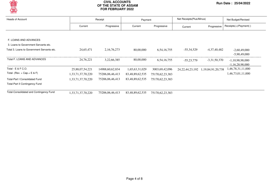

| <b>Heads of Account</b>                    |                   | Receipt         |                 | Payment         | Net Receipts (Plus/Minus) |                        | Net Budget/Revised     |  |
|--------------------------------------------|-------------------|-----------------|-----------------|-----------------|---------------------------|------------------------|------------------------|--|
|                                            | Current           | Progressive     | Current         | Progressive     | Current                   | Progressive            | Receipts(+)/Payment(-) |  |
|                                            |                   |                 |                 |                 |                           |                        |                        |  |
| F. LOANS AND ADVANCES                      |                   |                 |                 |                 |                           |                        |                        |  |
| 3. Loans to Government Servants etc.       |                   |                 |                 |                 |                           |                        |                        |  |
| Total 3. Loans to Government Servants etc. | 24,65,471         | 2,16,76,273     | 80,00,000       | 6, 54, 16, 755  | $-55,34,529$              | $-4,37,40,482$         | $-2,60,49,000$         |  |
|                                            |                   |                 |                 |                 |                           |                        | $-5,90,49,000$         |  |
| Total F. LOANS AND ADVANCES                | 24,76,221         | 3,22,66,385     | 80,00,000       | 6, 54, 16, 755  | $-55,23,779$              | $-3,31,50,370$         | $-1,10,98,98,000$      |  |
|                                            |                   |                 |                 |                 |                           |                        | $-1,16,28,98,000$      |  |
| Total - E & F C.O.                         | 25,88,07,54,221   | 14988,60,62,834 | 1,65,63,31,029  | 3003,69,42,096  | 24, 22, 44, 23, 192       | 1, 19, 84, 91, 20, 738 | 1,46,78,31,11,000      |  |
| Total- (Rev. + Cap. + E & F)               | 1,33,71,37,70,220 | 75206,06,46,413 | 83,48,89,62,535 | 75170,62,23,383 |                           |                        | 1,46,73,01,11,000      |  |
| <b>Total-Part I Consolidated Fund</b>      | 1,33,71,37,70,220 | 75206,06,46,413 | 83,48,89,62,535 | 75170,62,23,383 |                           |                        |                        |  |
| <b>Total-Part II Contingency Fund</b>      |                   |                 |                 |                 |                           |                        |                        |  |
| Total-Consolidated and Contingency Fund    | 1,33,71,37,70,220 | 75206,06,46,413 | 83,48,89,62,535 | 75170,62,23,383 |                           |                        |                        |  |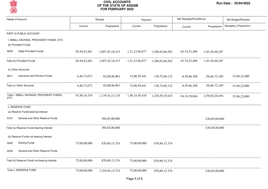

| <b>Heads of Account</b> |                                                                |              | Receipt          |                | Payment          | Net Receipts(Plus/Minus) |                   | Net Budget/Revised     |  |
|-------------------------|----------------------------------------------------------------|--------------|------------------|----------------|------------------|--------------------------|-------------------|------------------------|--|
|                         |                                                                | Current      | Progressive      | Current        | Progressive      | Current                  | Progressive       | Receipts(+)/Payment(-) |  |
|                         | PART III-PUBLIC ACCOUNT                                        |              |                  |                |                  |                          |                   |                        |  |
|                         | I. SMALL SAVINGS, PROVIDENT FUNDS, ETC.<br>(b) Provident Funds |              |                  |                |                  |                          |                   |                        |  |
| 8005                    | <b>State Provident Funds</b>                                   | 85,49,43,481 | 1,097,45,18,215  | 1,31,23,96,977 | 1,290,83,66,502  | $-45,74,53,496$          | $-1,93,38,48,287$ |                        |  |
|                         | Total (b) Provident Funds                                      | 85,49,43,481 | 1,097,45,18,215  | 1,31,23,96,977 | 1,290,83,66,502  | $-45,74,53,496$          | -1,93,38,48,287   |                        |  |
|                         | (c) Other Accounts                                             |              |                  |                |                  |                          |                   |                        |  |
| 8011                    | Insurance and Pension Funds                                    | 6,40,73,073  | 82,08,96,963     | 15,00,59,441   | 138,75,69,132    | $-8,59,86,368$           | $-56,66,72,169$   | $-33,96,22,000$        |  |
|                         | Total (c) Other Accounts                                       | 6,40,73,073  | 82,08,96,963     | 15,00,59,441   | 138,75,69,132    | $-8,59,86,368$           | $-56,66,72,169$   | $-33,96,22,000$        |  |
| ETC.                    | Total I. SMALL SAVINGS, PROVIDENT FUNDS,                       | 91,90,16,554 | 1,179,54,15,178  | 1,46,24,56,418 | 1,429,59,35,634  | -54, 34, 39, 864         | $-2,50,05,20,456$ | $-33,96,22,000$        |  |
|                         | J. RESERVE FUND                                                |              |                  |                |                  |                          |                   |                        |  |
|                         | (a) Reserve Funds bearing Interest                             |              |                  |                |                  |                          |                   |                        |  |
| 8121                    | General and Other Reserve Funds                                |              | 384,05,00,000    |                |                  |                          | 3,84,05,00,000    |                        |  |
|                         | Total (a) Reserve Funds bearing Interest                       |              | 384,05,00,000    |                |                  |                          | 3,84,05,00,000    |                        |  |
|                         | (b) Reserve Funds not bearing Interest                         |              |                  |                |                  |                          |                   |                        |  |
| 8222                    | <b>Sinking Funds</b>                                           | 75,00,00,000 | 870, 89, 15, 374 | 75,00,00,000   | 870, 89, 15, 374 |                          |                   |                        |  |
| 8235                    | General and Other Reserve Funds                                |              |                  |                |                  |                          |                   |                        |  |
|                         | Total (b) Reserve Funds not bearing Interest                   | 75,00,00,000 | 870, 89, 15, 374 | 75,00,00,000   | 870, 89, 15, 374 |                          |                   |                        |  |
|                         | Total J. RESERVE FUND                                          | 75,00,00,000 | 1,254,94,15,374  | 75,00,00,000   | 870, 89, 15, 374 |                          | 3,84,05,00,000    |                        |  |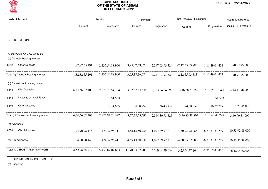

| Heads of Account                        |                | Receipt          |                    | Payment         |                    | Net Receipts(Plus/Minus) | Net Budget/Revised     |  |
|-----------------------------------------|----------------|------------------|--------------------|-----------------|--------------------|--------------------------|------------------------|--|
|                                         | Current        | Progressive      | Current            | Progressive     | Current            | Progressive              | Receipts(+)/Payment(-) |  |
| J. RESERVE FUND                         |                |                  |                    |                 |                    |                          |                        |  |
|                                         |                |                  |                    |                 |                    |                          |                        |  |
| K. DEPOSIT AND ADVANCES                 |                |                  |                    |                 |                    |                          |                        |  |
| (a) Deposits bearing Interest           |                |                  |                    |                 |                    |                          |                        |  |
| <b>Other Deposits</b><br>8342           | 1,82,82,55,191 | 2,135,54,88,900  | 3,95,37,59,074     | 2,247,03,93,324 | $-2,12,55,03,883$  | $-1, 11, 49, 04, 424$    | $-70,97,75,000$        |  |
| Total (a) Deposits bearing Interest     | 1,82,82,55,191 | 2,135,54,88,900  | 3,95,37,59,074     | 2,247,03,93,324 | $-2,12,55,03,883$  | $-1, 11, 49, 04, 424$    | $-70,97,75,000$        |  |
| (b) Deposits not bearing Interest       |                |                  |                    |                 |                    |                          |                        |  |
| <b>Civil Deposits</b><br>8443           | 6,44,56,02,403 | 2,876,73,54,134  | 3,27,67,64,644     | 2,363,94,34,593 | 3,16,88,37,759     | 5, 12, 79, 19, 541       | $-3,42,11,96,000$      |  |
| Deposits of Local Funds<br>8448         |                | 51,553           |                    |                 |                    | 51,553                   |                        |  |
| <b>Other Deposits</b><br>8449           |                | 20,14,635        | 4,88,952           | 36,43,932       | $-4,88,952$        | $-16,29,297$             | 1,21,45,000            |  |
| Total (b) Deposits not bearing Interest | 6,44,56,02,403 | 2,876,94,20,322  | 3, 27, 72, 53, 596 | 2,364,30,78,525 | 3, 16, 83, 48, 807 | 5, 12, 63, 41, 797       | $-3,40,90,51,000$      |  |
| (c) Advances                            |                |                  |                    |                 |                    |                          |                        |  |
| Civil Advances<br>8550                  | 24,90,28,148   | 424, 37, 95, 411 | 4,55,13,50,236     | 1,097,69,77,210 | $-4,30,23,22,088$  | $-6,73,31,81,799$        | 10,53,92,88,000        |  |
| Total (c) Advances                      | 24,90,28,148   | 424, 37, 95, 411 | 4,55,13,50,236     | 1,097,69,77,210 | $-4,30,23,22,088$  | $-6,73,31,81,799$        | 10,53,92,88,000        |  |
| Total K. DEPOSIT AND ADVANCES           | 8,52,28,85,742 | 5,436,87,04,633  | 11,78,23,62,906    | 5,709,04,49,059 | $-3,25,94,77,164$  | $-2,72,17,44,426$        | 6,42,04,62,000         |  |

(b) Suspense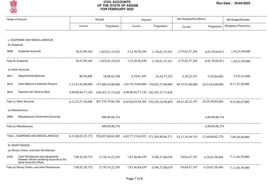

| <b>Heads of Account</b>                                                                                         |                   | Receipt                                                                                                   |                    | Payment                                                                | Net Receipts (Plus/Minus)       |                    | Net Budget/Revised     |  |
|-----------------------------------------------------------------------------------------------------------------|-------------------|-----------------------------------------------------------------------------------------------------------|--------------------|------------------------------------------------------------------------|---------------------------------|--------------------|------------------------|--|
|                                                                                                                 | Current           | Progressive                                                                                               | Current            | Progressive                                                            | Current                         | Progressive        | Receipts(+)/Payment(-) |  |
| L. SUSPENSE AND MISCELLANEOUS                                                                                   |                   |                                                                                                           |                    |                                                                        |                                 |                    |                        |  |
| (b) Suspense                                                                                                    |                   |                                                                                                           |                    |                                                                        |                                 |                    |                        |  |
| <b>Suspense Accounts</b><br>8658                                                                                | 36,47,99,164      | 1,822,01,19,432                                                                                           | 3, 12, 30, 36, 558 |                                                                        | 1,138,61,35,421 -2,75,82,37,394 | 6,83,39,84,011     | 1,44,21,99,000         |  |
| Total (b) Suspense                                                                                              | 36,47,99,164      | 1,822,01,19,432                                                                                           | 3, 12, 30, 36, 558 | 1,138,61,35,421                                                        | -2,75,82,37,394                 | 6,83,39,84,011     | 1,44,21,99,000         |  |
| (c) Other Accounts                                                                                              |                   |                                                                                                           |                    |                                                                        |                                 |                    |                        |  |
| <b>Departmental Balances</b><br>8671                                                                            | 80,58,888         | 18,98,92,558                                                                                              | 4, 19, 81, 245     | 24, 54, 77, 222                                                        | $-3,39,22,357$                  | $-5,55,84,664$     | 37,91,91,000           |  |
| Cash Balance Investment Account<br>8673                                                                         | 1,13,41,82,00,000 |                                                                                                           |                    | 137,409,43,00,000 1,62,79,79,00,000 139,833,27,00,000 -49,37,97,00,000 |                                 | $-24,23,84,00,000$ | $-9,71,52,38,000$      |  |
| Deposits with Reserve Bank<br>8675                                                                              | 4,99,80,94,77,120 | 430, 307, 37, 73, 628 4, 99, 80, 94, 77, 120 430, 307, 37, 73, 628                                        |                    |                                                                        |                                 |                    |                        |  |
| Total (c) Other Accounts                                                                                        |                   | 6,13,23,57,36,008 567,735,79,66,186 6,62,64,93,58,365 570,165,19,50,850 -49,41,36,22,357 -24,29,39,84,664 |                    |                                                                        |                                 |                    | $-9,33,60,47,000$      |  |
| (e) Miscellaneous                                                                                               |                   |                                                                                                           |                    |                                                                        |                                 |                    |                        |  |
| Miscellaneous Government Accounts<br>8680                                                                       |                   | 499,99,98,374                                                                                             |                    |                                                                        |                                 | 4,99,99,98,374     |                        |  |
| Total (e) Miscellaneous                                                                                         |                   | 499,99,98,374                                                                                             |                    |                                                                        |                                 | 4,99,99,98,374     |                        |  |
| Total L. SUSPENSE AND MISCELLANEOUS                                                                             |                   | 6,13,60,05,35,172 570,057,80,83,992 6,65,77,23,94,923 571,303,80,86,271 -52,17,18,59,751 -12,46,00,02,279 |                    |                                                                        |                                 |                    | -7,89,38,48,000        |  |
| M. REMITTANCES                                                                                                  |                   |                                                                                                           |                    |                                                                        |                                 |                    |                        |  |
| (a) Money Orders, and other Remittances                                                                         |                   |                                                                                                           |                    |                                                                        |                                 |                    |                        |  |
| Cash Remittances and adjustments<br>8782<br>between officers rendering accounts to the<br>same Accounts Officer | 7,09,42,20,732    | 5,176,74,22,195                                                                                           | 7,87,46,68,479     | 5,596,37,80,679                                                        | -78,04,47,747                   | $-4,19,63,58,484$  | $-7,11,64,39,000$      |  |
| Total (a) Money Orders, and other Remittances                                                                   | 7,09,42,20,732    | 5, 176, 74, 22, 195                                                                                       | 7,87,46,68,479     | 5,596,37,80,679                                                        | -78,04,47,747                   | $-4,19,63,58,484$  | $-7,11,64,39,000$      |  |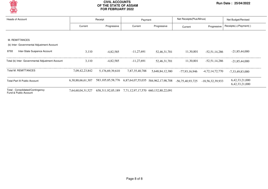

| <b>Heads of Account</b>                                   |                   | Receipt<br>Payment                                    |                | Net Receipts (Plus/Minus)           |                  | Net Budget/Revised |                                  |
|-----------------------------------------------------------|-------------------|-------------------------------------------------------|----------------|-------------------------------------|------------------|--------------------|----------------------------------|
|                                                           | Current           | Progressive                                           | Current        | Progressive                         | Current          | Progressive        | Receipts(+)/Payment(-)           |
|                                                           |                   |                                                       |                |                                     |                  |                    |                                  |
| M. REMITTANCES                                            |                   |                                                       |                |                                     |                  |                    |                                  |
| (b) Inter- Governmental Adjustment Account                |                   |                                                       |                |                                     |                  |                    |                                  |
| Inter-State Suspence Account<br>8793                      | 3.110             | $-4,82,585$                                           | $-11,27,691$   | 52,46,31,701                        | 11,30,801        | $-52,51,14,286$    | $-21,85,44,000$                  |
| Total (b) Inter- Governmental Adjustment Account          | 3.110             | $-4,82,585$                                           | $-11,27,691$   | 52,46,31,701                        | 11,30,801        | $-52,51,14,286$    | $-21,85,44,000$                  |
| <b>Total M. REMITTANCES</b>                               | 7,09,42,23,842    | 5.176.69.39.610                                       | 7.87.35.40.788 | 5,648,84,12,380                     | -77.93.16.946    | $-4,72,14,72,770$  | $-7,33,49,83,000$                |
| <b>Total-Part III Public Account</b>                      | 6,30,88,66,61,307 | 583, 105, 85, 58, 776                                 |                | 6,87,64,07,55,035 584,962,17,98,708 | -56.75.40.93.725 | -18,56,32,39,933   | 6,42,33,21,000<br>6,42,33,21,000 |
| Total - Consolidated/Contingency<br>Fund & Public Account | 7,64,60,04,31,527 | 658,311,92,05,189 7,71,12,97,17,570 660,132,80,22,091 |                |                                     |                  |                    |                                  |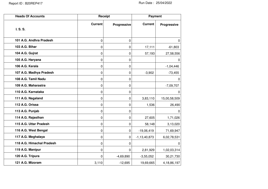| <b>Heads Of Accounts</b>  |                | Receipt          | <b>Payment</b>    |                |  |
|---------------------------|----------------|------------------|-------------------|----------------|--|
| I. S. S.                  | <b>Current</b> | Progressive      | <b>Current</b>    | Progressive    |  |
|                           |                |                  |                   |                |  |
| 101 A.G. Andhra Pradesh   | 0              | $\mathbf 0$      |                   | 0              |  |
| 103 A.G. Bihar            | 0              | $\pmb{0}$        | 17,111            | $-61,803$      |  |
| 104 A.G. Gujrat           | 0              | 0                | 57,193            | 27,58,556      |  |
| 105 A.G. Haryana          | 0              | $\mathbf 0$      |                   | 0              |  |
| 106 A.G. Kerala           | 0              | $\boldsymbol{0}$ |                   | $-1,04,446$    |  |
| 107 A.G. Madhya Pradesh   | 0              | $\mathbf 0$      | $-3,902$          | $-73,455$      |  |
| 108 A.G. Tamil Nadu       | 0              | $\boldsymbol{0}$ |                   | 0              |  |
| 109 A.G. Maharastra       | 0              | $\boldsymbol{0}$ |                   | $-7,09,707$    |  |
| 110 A.G. Karnataka        | 0              | $\mathbf 0$      |                   | 0              |  |
| 111 A.G. Nagaland         | 0              | $\boldsymbol{0}$ | 3,83,110          | 15,00,58,509   |  |
| 112 A.G. Orissa           | 0              | 0                | 1,536             | 26,490         |  |
| 113 A.G. Punjab           | 0              | $\boldsymbol{0}$ |                   | 0              |  |
| 114 A.G. Rajasthan        | 0              | 0                | 27,605            | 1,71,026       |  |
| 115 A.G. Uttar Pradesh    | 0              | $\mathbf 0$      | 58,148            | 3,13,020       |  |
| 116 A.G. West Bengal      | 0              | $\mathbf 0$      | $-19,06,419$      | 71,69,947      |  |
| 117 A.G. Meghalaya        | 0              | $\mathbf 0$      | $-1, 13, 40, 873$ | 6,02,78,531    |  |
| 118 A.G. Himachal Pradesh | 0              | 0                |                   | 0              |  |
| 119 A.G. Manipur          | 0              | $\mathbf{0}$     | 2,81,929          | 1,02,03,314    |  |
| 120 A.G. Tripura          | 0              | $-4,69,890$      | $-3,55,052$       | 30,21,730      |  |
| 121 A.G. Mizoram          | 3,110          | $-12,695$        | 19,69,665         | 4, 18, 86, 197 |  |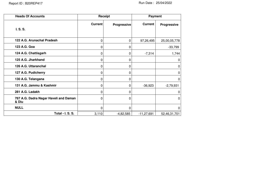| <b>Heads Of Accounts</b>                       | Receipt        |             | Payment        |              |
|------------------------------------------------|----------------|-------------|----------------|--------------|
|                                                | <b>Current</b> | Progressive | <b>Current</b> | Progressive  |
| I. S. S.                                       |                |             |                |              |
| 122 A.G. Arunachal Pradesh                     | 0              | 0           | 97,26,495      | 25,00,05,778 |
| 123 A.G. Goa                                   | 0              | 0           |                | $-33,799$    |
| 124 A.G. Chattisgarh                           | 0              | 0           | $-7,314$       | 1,744        |
| 125 A.G. Jharkhand                             | 0              | 0           |                | $\mathbf 0$  |
| 126 A.G. Uttaranchal                           | 0              | 0           |                | 0            |
| 127 A.G. Pudicherry                            | 0              | 0           |                | $\Omega$     |
| 130 A.G. Telangana                             | 0              | 0           |                | $\mathbf 0$  |
| 131 A.G. Jammu & Kashmir                       | 0              | 0           | $-36,923$      | $-2,79,931$  |
| 281 A.G. Ladakh                                | 0              | 0           |                | 0            |
| 787 A.G. Dadra Nagar Haveli and Daman<br>& Diu | 0              | $\Omega$    |                | $\Omega$     |
| <b>NULL</b>                                    | 0              | $\Omega$    |                | $\Omega$     |
| Total - I. S. S.                               | 3,110          | $-4,82,585$ | $-11, 27, 691$ | 52,46,31,701 |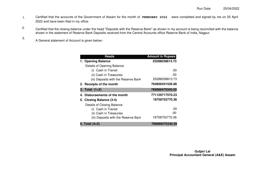- Certified that the accounts of the Government of Assam for the month of **FEBRUARY 2022** were completed and signed by me on 25 April 2022 and have been filed in my office. 1.
- Certified that the closing balance under the head "Deposits with the Reserve Bank" as shown in my account is being reconciled with the balance shown in the statement of Reserve Bank Deposits received from the Central Accounts office Reserve Bank of India, Nagpur. 2.
	- A General statement of Account is given below:-

3.

| <b>Heads</b>                         | <b>Amount in Rupees</b> |
|--------------------------------------|-------------------------|
| 1. Opening Balance                   | 25288038813.73          |
| Details of Opening Balance           |                         |
| (i) Cash in Transit                  | .00                     |
| (ii) Cash in Treasuries              | .00                     |
| (iii) Deposits with the Reserve Bank | 25288038813.73          |
| 2. Receipts of the month             | 764600431526.86         |
| 3. Total (1+2)                       | 789888470340.59         |
| 4. Disbursements of the month        | 771129717570.23         |
| 5. Closing Balance (3-4)             | 18758752770.36          |
| Details of Closing Balance           |                         |
| (i) Cash in Transit                  | .00                     |
| (ii) Cash in Treasuries              | .00                     |
| (iii) Deposits with the Reserve Bank | 18758752770.36          |
| 6. Total (4+5)                       | 789888470340.59         |

**Guljari Lal Principal Accountant General (A&E) Assam**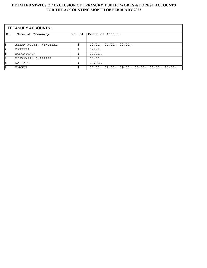| <b>TREASURY ACCOUNTS:</b> |                       |        |                                                             |
|---------------------------|-----------------------|--------|-------------------------------------------------------------|
| SI.                       | Name of Treasury      | No. of | Month Of Account                                            |
|                           |                       |        |                                                             |
| 1                         | ASSAM HOUSE, NEWDELHI | 3      | $12/21$ , $01/22$ , $02/22$ ,                               |
| 2                         | <b>BARPETA</b>        |        | $02/22$ ,                                                   |
| 3                         | BONGAIGAON            |        | $02/22$ ,                                                   |
| 4                         | BISWANATH CHARIALI    |        | $02/22$ ,                                                   |
| 5                         | DARRANG               |        | $02/22$ ,                                                   |
| 6                         | <b>KAMRUP</b>         | 8      | $07/21$ , $08/21$ , $09/21$ , $10/21$ , $11/21$ , $12/21$ , |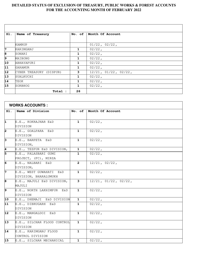<u> 1989 - Johann Stoff, deutscher Stoff, der Stoff, der Stoff, der Stoff, der Stoff, der Stoff, der Stoff, der S</u>

 $\overline{\phantom{0}}$ 

| SI.             | Name of Treasury        | No. of       | Month Of Account              |
|-----------------|-------------------------|--------------|-------------------------------|
|                 |                         |              |                               |
|                 | KAMRUP                  |              | $01/22$ , $02/22$ ,           |
| 7               | KARIMGANJ               | 1            | $02/22$ ,                     |
| 8               | SONARI                  | 1            | $02/22$ ,                     |
| 9               | MAIBONG                 | 1            | $02/22$ ,                     |
| $\overline{10}$ | ABHAYAPURI              | $\mathbf{1}$ | $02/22$ ,                     |
| 11              | <b>GARAMUR</b>          | 1            | $02/22$ ,                     |
| $\overline{12}$ | CYBER TREASURY (DISPUR) | 3            | $12/21$ , $01/22$ , $02/22$ , |
| $\overline{13}$ | SUALKUCHI               | 1            | $02/22$ ,                     |
| 14              | TEOK                    | 1            | $02/22$ ,                     |
| $\overline{15}$ | SORBHOG                 | $\mathbf{1}$ | $02/22$ ,                     |
|                 | Total :                 | 26           |                               |

|                | <b>WORKS ACCOUNTS :</b>     |                |                                    |  |
|----------------|-----------------------------|----------------|------------------------------------|--|
| SI.            | Name of Division            |                | No. of   Month Of Account          |  |
|                |                             |                |                                    |  |
| 1              | E.E., KOKRAJHAR E&D         | $\mathbf{1}$   | $02/22$ ,                          |  |
|                | DIVISION                    |                |                                    |  |
| 2              | E.E., GOALPARA E&D          | $\mathbf{1}$   | $02/22$ ,                          |  |
|                | DIVISION                    |                |                                    |  |
| з              | E.E., BARPETA E&D           | $\mathbf{1}$   | $02/22$ ,                          |  |
|                | DIVISION,                   |                |                                    |  |
| 4              | E.E., TEZPUR E&D DIVISION,  | $\mathbf{1}$   | $02/22$ ,                          |  |
| 5              | E.E., PALASBARI GUMI        | $\mathbf{1}$   | $02/22$ ,                          |  |
|                | PROJECT, (FC), MIRZA        |                |                                    |  |
| 6              | E.E., NALBARI E&D           | $\overline{2}$ | $12/21$ , $02/22$ ,                |  |
|                | DIVISION,                   |                |                                    |  |
| 7              | E.E., WEST GUWAHATI E&D     | $\mathbf{1}$   | $02/22$ ,                          |  |
|                | DIVISION, BHARALUMUKH       |                |                                    |  |
| $\overline{8}$ | E.E., MAJULI E&D DIVISION,  | $\mathbf{3}$   | $\overline{12/21}$ , 01/22, 02/22, |  |
|                | MAJULI                      |                |                                    |  |
| 9              | E.E., NORTH LAKHIMPUR E&D   | $\mathbf{1}$   | $02/22$ ,                          |  |
|                | DIVISION                    |                |                                    |  |
| 10             | E.E., DHEMAJI E&D DIVISION  | $\mathbf{1}$   | $02/22$ ,                          |  |
| 11             | E.E., DIBRUGARH E&D         | $\mathbf{1}$   | $02/22$ ,                          |  |
|                | DIVISION                    |                |                                    |  |
| 12             | E.E., MANGALDOI E&D         | $\mathbf{1}$   | $02/22$ ,                          |  |
|                | DIVISION                    |                |                                    |  |
| 13             | E.E., SILCHAR FLOOD CONTROL | $\mathbf{1}$   | $\frac{1}{02}$ /22,                |  |
|                | DIVISION                    |                |                                    |  |
| 14             | E.E., KARIMGANJ FLOOD       | $\mathbf{1}$   | $02/22$ ,                          |  |
|                | CONTROL DIVISION            |                |                                    |  |
| 15             | E.E., SILCHAR MECHANICAL    | $\mathbf{1}$   | $02/22$ ,                          |  |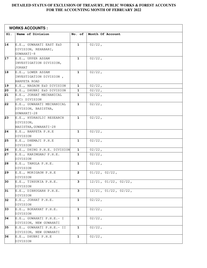|                 | <b>WORKS ACCOUNTS :</b>                      |              |                               |  |
|-----------------|----------------------------------------------|--------------|-------------------------------|--|
| SI.             | Name of Division                             | No. of       | Month Of Account              |  |
|                 |                                              |              |                               |  |
| 16              | E.E., GUWAHATI EAST E&D                      | $\mathbf{1}$ | $02/22$ ,                     |  |
|                 | DIVISION, REHABARI,                          |              |                               |  |
|                 | GUWAHATI-8                                   |              |                               |  |
| 17              | E.E., UPPER ASSAM                            | $\mathbf{1}$ | $02/22$ ,                     |  |
|                 | INVESTIGATION DIVISION,                      |              |                               |  |
| $\overline{18}$ | JORHAT                                       | $\mathbf{1}$ | $02/22$ ,                     |  |
|                 | E.E., LOWER ASSAM<br>INVESTIGATION DIVISION, |              |                               |  |
|                 | BARPETA ROAD                                 |              |                               |  |
| $\overline{19}$ | E.E., NAGAON E&D DIVISION                    | $\mathbf{1}$ | $02/22$ ,                     |  |
| 20              | E.E., DHUBRI E&D DIVISION                    | $\mathbf 1$  | $02/22$ ,                     |  |
| 21              | E.E., JORHAT MECHANICAL                      | $\mathbf{1}$ | $02/22$ ,                     |  |
|                 | (FC) DIVISION                                |              |                               |  |
| 22              | E.E., GUWAHATI MECHANICAL                    | $\mathbf{1}$ | $02/22$ ,                     |  |
|                 | DIVISION, BASISTHA,                          |              |                               |  |
|                 | GUWAHATI-28                                  |              |                               |  |
| 23              | E.E., HYDRAULIC RESEARCH                     | $\mathbf{1}$ | $\frac{1}{02}/22$ ,           |  |
|                 | DIVISION,                                    |              |                               |  |
|                 | BASISTHA, GUWAHATI-28                        |              |                               |  |
| 24              | E.E., BARPETA P.H.E                          | $\mathbf{1}$ | $02/22$ ,                     |  |
|                 | DIVISION                                     |              |                               |  |
| 25              | E.E., DHEMAJI P.H.E                          | $\mathbf{1}$ | $02/22$ ,                     |  |
|                 | DIVISION                                     |              |                               |  |
| 26              | E.E., DHING P.H.E. DIVISION                  | $\mathbf{1}$ | $02/22$ ,                     |  |
| 27              | E.E., KARIMGANJ P.H.E.                       | $\mathbf 1$  | $02/22$ ,                     |  |
|                 | DIVISION                                     |              |                               |  |
| 28              | E.E., TANGLA P.H.E.                          | $\mathbf{1}$ | $02/22$ ,                     |  |
|                 | DIVISION                                     |              |                               |  |
| 29              | E.E., MORIGAON P.H.E                         | $\mathbf{2}$ | $01/22$ , $02/22$ ,           |  |
| 30              | DIVISION<br>E.E., TINSUKIA P.H.E.            | 3            | $12/21$ , $01/22$ , $02/22$ , |  |
|                 | DIVISION                                     |              |                               |  |
| 31              | E.E., DIBRUGARH P.H.E.                       | 3            | $12/21$ , $01/22$ , $02/22$ , |  |
|                 | DIVISION                                     |              |                               |  |
| 32              | E.E., JORHAT P.H.E.                          | $\mathbf{1}$ | $02/22$ ,                     |  |
|                 | DIVISION                                     |              |                               |  |
| 33              | E.E., BOKAKHAT P.H.E.                        | $\mathbf{1}$ | $02/22$ ,                     |  |
|                 | DIVISION                                     |              |                               |  |
| 34              | E.E., GUWAHATI P.H.E.- I                     | $\mathbf{1}$ | $02/22$ ,                     |  |
|                 | DIVISION, NEW GUWAHATI                       |              |                               |  |
| 35              | E.E., GUWAHATI P.H.E.- II                    | $\mathbf 1$  | $02/22$ ,                     |  |
|                 | DIVISION, NEW GUWAHATI                       |              |                               |  |
| 36              | E.E., DHUBRI P.H.E                           | $\mathbf{1}$ | $02/22$ ,                     |  |
|                 | DIVISION                                     |              |                               |  |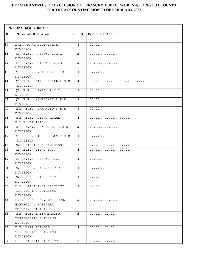|          | <b>WORKS ACCOUNTS :</b>                                                           |                |                                                                |
|----------|-----------------------------------------------------------------------------------|----------------|----------------------------------------------------------------|
| SI.      | Name of Division                                                                  | No. of         | Month Of Account                                               |
| 37       | E.E., MANGALDOI P.H.E.<br>DIVISION                                                | $\mathbf{1}$   | $02/22$ ,                                                      |
| 38       | (E) E.E., HAFLONG P.H.E<br>DIVISION                                               | $\overline{2}$ | $01/22$ , $02/22$ ,                                            |
| 39       | (E) E.E., MAIBONG P.H.E<br>DIVISION                                               | $\mathbf{2}$   | $01/22$ , $02/22$ ,                                            |
| 40       | (E) E.E., UMRANGSO P.H.E<br>DIVISION                                              | $\mathbf{1}$   | $02/22$ ,                                                      |
| 41       | (E) E.E., DIPHU RURAL P.H.E<br>DIVISION                                           | 4              | $11/21$ , $12/21$ , $01/22$ , $02/22$ ,                        |
| 42       | (E) E.E., HAMREN P.H.E<br>DIVISION                                                | $\mathbf{1}$   | $02/22$ ,                                                      |
| 43       | (E) E.E., HOWRAGHAT P.H.E.<br>DIVISION                                            | $\mathbf{1}$   | $02/22$ ,                                                      |
| 44       | (NE) E.E., UMRANGSO P.H.E<br>DIVISION                                             | $\mathbf 1$    | $02/22$ ,                                                      |
| 45       | (NE) E.E., DIPHU RURAL<br>P.H.E DIVISION                                          | 3              | $12/21$ , $01/22$ , $02/22$ ,                                  |
| 46       | (NE) E.E., HOWRAGHAT P.H.E.<br>DIVISION                                           | $\mathbf{2}$   | $01/22$ , $02/22$ ,                                            |
| 47       | (E) E.E., DIPHU URBAN P.H.E<br>DIVISION                                           | 1              | $02/22$ ,                                                      |
| 48<br>49 | (NE) BAKSA PHE DIVISION<br>$(E)$ E.E., DIPHU F.C.                                 | 3<br>3         | $12/21$ , $01/22$ , $02/22$ ,<br>$12/21$ , $01/22$ , $02/22$ , |
| 50       | DIVISION<br>(E) E.E., HAFLONG F.C.                                                | $\mathbf 1$    | $02/22$ ,                                                      |
| 51       | DIVISION<br>(NE) E.E., HAFLONG F.C.<br>DIVISION                                   | 1              | $02/22$ ,                                                      |
| 52       | (NE) E.E., DIPHU F.C.<br>DIVISION                                                 | 1              | $02/22$ ,                                                      |
| 53       | E.E. HAILAKANDI DISTRICT<br>TERRITORIAL BUILDING                                  | $\mathbf{1}$   | $02/22$ ,                                                      |
| 54       | DIVISION<br>E.E. UDHARBOND, LAKHIPUR,<br>BARKHOLA & KATIGORA<br>BUILDING DIVISION | $\mathbf{2}$   | $01/22$ , $02/22$ ,                                            |
| 55       | (NE) E.E. BAITHALANGSO<br>TERRITORIAL BUILDING<br>DIVISION                        | $\mathbf{2}$   | $01/22$ , $02/22$ ,                                            |
| 56       | E.E. BAITHALANGSO<br>TERRITORIAL BUILDING<br>DIVISION                             | $\mathbf{2}$   | $01/22$ , $02/22$ ,                                            |
| 57       | E.E. BARPETA DISTRICT                                                             | $\mathbf{2}$   | $01/22$ , $02/22$ ,                                            |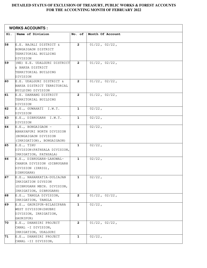|      | <b>WORKS ACCOUNTS :</b>                                                                                 |                |                     |
|------|---------------------------------------------------------------------------------------------------------|----------------|---------------------|
| SI.  | Name of Division                                                                                        | No. of         | Month Of Account    |
| 58   | E.E. BAJALI DISTRICT &<br>BONGAIGAON DISTRICT<br>TERRITORIAL BUILDING<br>DIVISION                       | $\overline{2}$ | $01/22$ , $02/22$ , |
| 59   | (NE) E.E. UDALGURI DISTRICT<br>& BAKSA DISTRICT<br>TERRITORIAL BUILDING<br>DIVISION                     | $\overline{2}$ | $01/22$ , $02/22$ , |
| 60   | E.E. UDALGURI DISTRICT &<br>BAKSA DISTRICT TERRITORIAL<br><b>BUILDING DIVISION</b>                      | $\overline{2}$ | $01/22$ , $02/22$ , |
| 61   | E.E. DARRANG DISTRICT<br>TERRITORIAL BUILDING<br>DIVISION                                               | $\mathbf{2}$   | $01/22$ , $02/22$ , |
| 62   | E.E., GUWAHATI I.W.T.<br>DIVISION                                                                       | $\mathbf{1}$   | $02/22$ ,           |
| 63   | E.E., DIBRUGARH I.W.T.<br>DIVISION                                                                      | $\mathbf{1}$   | $02/22$ ,           |
| 64   | $E.E., BONGAIGAON -$<br>ABHAYAPURI NORTH DIVISION<br>(BONGAIGAON DIVISION<br>(IRRIGATION), BONGAIGAON)  | $\mathbf{1}$   | $02/22$ ,           |
| 65   | E.E., TIHU<br>DIVISION (PATHSALA DIVISION,<br>IRRIGATION, PATHSALA)                                     | $\mathbf{1}$   | $02/22$ ,           |
| 66   | E.E., DIBRUGARH-LAHOWAL-<br>CHABUA DIVISION (DIBRUGARH<br>DIVISION (IRRIG),<br>DIBRUGARH)               | $\mathbf{1}$   | $02/22$ ,           |
| 67   | E.E., NAHARKATIA-DULIAJAN<br>IRRIGATION DIVSION<br>(DIBRUGARH MECH. DIVISION,<br>IRRIGATION, DIBRUGARH) | 1              | $02/22$ ,           |
| 68   | E.E., TANGLA DIVISION,<br>IRRIGATION, TANGLA                                                            | $\overline{2}$ | $01/22$ , $02/22$ , |
| 69   | E.E., GAURIPUR-BILASIPARA<br>WEST DIVISION (DHUBRI<br>DIVISION, IRRIGATION,<br>GAURIPUR)                | $\mathbf 1$    | $02/22$ ,           |
| 17 O | E.E., DHANSIRI PROJECT<br>CANAL -I DIVISION,<br>IRRIGATION, UDALGURI                                    | $\mathbf{2}$   | $01/22$ , $02/22$ , |
| 71   | E.E., DHANSIRI PROJECT<br>CANAL -II DIVISION,                                                           | $\mathbf{1}$   | $02/22$ ,           |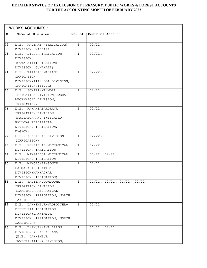|     | <b>WORKS ACCOUNTS :</b>                         |                |                                         |  |
|-----|-------------------------------------------------|----------------|-----------------------------------------|--|
| SI. | Name of Division                                | No. of         | Month Of Account                        |  |
| 72  | E.E., NALBARI (IRRIGATION)                      | $\mathbf{1}$   | $02/22$ ,                               |  |
|     | DIVISION, NALBARI                               |                |                                         |  |
| 73  | E.E., DISPUR IRRIGATION                         | $\mathbf{1}$   | $02/22$ ,                               |  |
|     | DIVISION                                        |                |                                         |  |
|     | (GUWAHATI (IRRIGATION)                          |                |                                         |  |
|     | DIVISION, GUWAHATI)                             |                |                                         |  |
| 74  | E.E., TITABAR-MARIANI                           | $\mathbf{1}$   | $02/22$ ,                               |  |
|     | IRRIGATION                                      |                |                                         |  |
|     | DIVISION (ITAKHOLA DIVISION,                    |                |                                         |  |
|     | IRRIGATION, TEZPUR)                             |                |                                         |  |
| 75  | E.E., SONARI-MAHMORA                            | $\mathbf{1}$   | $02/22$ ,                               |  |
|     | IRRIGATION DIVISION (JORHAT                     |                |                                         |  |
|     | MECHANICAL DIVISION,                            |                |                                         |  |
|     | IRRIGATION)                                     |                |                                         |  |
| 76  | E.E., RAHA-BATARDRAVA                           | $\mathbf{1}$   | $02/22$ ,                               |  |
|     | IRRIGATION DIVISION                             |                |                                         |  |
|     | (KALIABOR AND INTIGATED                         |                |                                         |  |
|     | KALLONG ELECTRICAL                              |                |                                         |  |
|     | DIVISION, IRRIGATION,                           |                |                                         |  |
|     | NAGAON)                                         |                |                                         |  |
| 77  | E.E., KOKRAJHAR DIVISION                        | $\mathbf{1}$   | $02/22$ ,                               |  |
|     | (IRRIGATION)                                    |                |                                         |  |
| 78  | E.E., KOKRAJHAR MECHANICAL                      | $\mathbf{1}$   | $02/22$ ,                               |  |
|     | DIVISION, IRRIGATION                            |                |                                         |  |
| 79  | E.E., MANGALDOI MECHANICAL                      | $\overline{2}$ | $01/22$ , $02/22$ ,                     |  |
|     | DIVISION, IRRIGATION                            |                |                                         |  |
| 80  | E.E., MANCACHAR-SOUTH                           | $\mathbf{1}$   | $02/22$ ,                               |  |
|     | SALMARA IRRIGATION                              |                |                                         |  |
|     | DIVISION (MANKACHAR                             |                |                                         |  |
| 81  | DIVISION, IRRIGATION)<br>E.E., SADIYA-DOOMDOOMA | 4              | $11/21$ , $12/21$ , $01/22$ , $02/22$ , |  |
|     | IRRIGATION DIVISION                             |                |                                         |  |
|     | (LAKHIMPUR MECHANICAL                           |                |                                         |  |
|     | DIVISION, IRRIGATION, NORTH                     |                |                                         |  |
|     | LAKHIMPUR)                                      |                |                                         |  |
| 82  | E.E., LAKHIMPUR-NAOBOICHA-                      | $\mathbf{1}$   | $02/22$ ,                               |  |
|     | BIHUPURIA IRRIGATION                            |                |                                         |  |
|     | DIVISION (LAKHIMPUR                             |                |                                         |  |
|     | DIVISION, IRRIGATION, NORTH                     |                |                                         |  |
|     | LAKHIMPUR)                                      |                |                                         |  |
| 83  | E.E., DHAKUAKHANA IRRGN                         | $\overline{2}$ | $01/22$ , $02/22$ ,                     |  |
|     | DIVISION (DHAKUAKHANA                           |                |                                         |  |
|     | (E.E., LAKHIMPUR                                |                |                                         |  |
|     | INVESTIGATION) DIVISION,                        |                |                                         |  |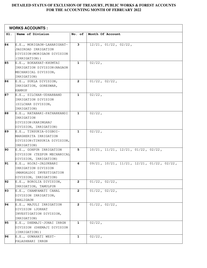|     | <b>WORKS ACCOUNTS :</b>                                                                           |                |                                                             |
|-----|---------------------------------------------------------------------------------------------------|----------------|-------------------------------------------------------------|
| SI. | Name of Division                                                                                  | No. of         | Month Of Account                                            |
| 84  | E.E., MORIGAON-LAHARIGHAT-<br>JAGIROAD IRRIGATION<br>DIVISION(MORIGAON DIVISION<br>(IRRIGATION))  | 3              | $12/21$ , $01/22$ , $02/22$ ,                               |
| 85  | E.E., BOKAKHAT-KHUMTAI<br>IRRIGATION DIVISION (NAGAON<br>MECHANICAL DIVISION,<br>IRRIGATION)      | $\mathbf{1}$   | $02/22$ ,                                                   |
| 86  | E.E., SUKLA DIVISION,<br>IRRIGATION, GORESWAR,<br>KAMRUP                                          | $\overline{2}$ | $01/22$ , $02/22$ ,                                         |
| 87  | E.E., SILCHAR-UDHARBAND<br>IRRIGATION DIVISION<br>(SILCHAR DIVISION,<br>IRRIGATION)               | $\mathbf{1}$   | $02/22$ ,                                                   |
| 88  | E.E., RATABARI-PATHARKANDI<br>IRRIGATION<br>DIVISION (KARIMGANJ<br>DIVISION, IRRIGATION)          | $\mathbf{1}$   | $02/22$ ,                                                   |
| 89  | E.E., TINSUKIA-DIGBOI-<br>MARGHERITA IRRIGATION<br>DIVISION (TINSUKIA DIVISION,<br>IRRIGATION)    | $\mathbf{1}$   | $02/22$ ,                                                   |
| 90  | E.E., GOHPUR IRRIGATION<br>DIVISION (TEZPUR MECHANICAL<br>DIVISION, IRRIGATION)                   | 5              | $10/21$ , $11/21$ , $12/21$ , $01/22$ , $02/22$ ,           |
| 91  | E.E., HOJAI-JALUKBARI<br>IRRIGATION DIVISION<br>(MANGALDOI INVESTIGATION<br>DIVISION, IRRIGATION) | 6              | $09/21$ , $10/21$ , $11/21$ , $12/21$ , $01/22$ , $02/22$ , |
| 92  | E.E., BOROLIA DIVISION,<br>IRRIGATION, TAMULPUR                                                   | $\mathbf{2}$   | $01/22$ , $02/22$ ,                                         |
| 93  | E.E., CHAMPAMATI CANAL<br>DIVISION IRRIGATION,<br>DHALIGAON                                       | $\mathbf{2}$   | $01/22$ , $02/22$ ,                                         |
| 94  | E.E., MAJULI IRRIGATION<br>DIVISION (JORHAT<br>INVESTIGATION DIVISION,<br>IRRIGATION)             | $\mathbf{2}$   | $01/22$ , $02/22$ ,                                         |
| 95  | E.E., DHEMAJI-JONAI IRRGN<br>DIVISION (DHEMAJI DIVISION<br>(IRRIGATION))                          | $\mathbf{1}$   | $02/22$ ,                                                   |
| 96  | E.E., GUWAHATI WEST-<br>PALASHBARI IRRGN                                                          | $\mathbf{1}$   | $02/22$ ,                                                   |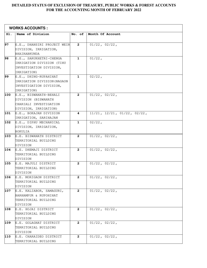|     | <b>WORKS ACCOUNTS :</b>              |                |                                         |
|-----|--------------------------------------|----------------|-----------------------------------------|
| SI. | Name of Division                     | No. of         | Month Of Account                        |
|     |                                      |                |                                         |
| 97  | E.E., DHANSIRI PROJECT WEIR          | $\mathbf{2}$   | $01/22$ , $02/22$ ,                     |
|     | DIVISION, IRRIGATION,                |                |                                         |
|     | BHAIRABKUNDA                         |                |                                         |
| 98  | E.E., SARUKHETRI-CHENGA              | $\mathbf 1$    | $01/22$ ,                               |
|     | IRRIGATION DIVISION (TIHU            |                |                                         |
|     | INVESTIGATION DIVISION,              |                |                                         |
|     | IRRIGATION)                          |                |                                         |
| 99  | E.E., DHING-RUPAHIHAT                | $\mathbf 1$    | $02/22$ ,                               |
|     | IRRIGATION DIVISION (NAGAON          |                |                                         |
|     | INVESTIGATION DIVISION,              |                |                                         |
|     | IRRIGATION)                          |                |                                         |
| 100 | E.E., BISWANATH-BEHALI               | $\mathbf{2}$   | $01/22$ , $02/22$ ,                     |
|     | DIVISION (BISWANATH                  |                |                                         |
|     | CHARIALI INVESTIGATION               |                |                                         |
|     | DIVISION, IRRIGATION)                |                |                                         |
| 101 | E.E., BOKAJAN DIVISION               | 4              | $11/21$ , $12/21$ , $01/22$ , $02/22$ , |
|     | IRRIGATION, SARIHAJAN                |                |                                         |
| 102 | E.E., DIPHU MECHANICAL               | $\mathbf 1$    | $02/22$ ,                               |
|     | DIVISION, IRRIGATION,                |                |                                         |
|     | BOKULIA                              |                |                                         |
| 103 | E.E. BISWANATH DISTRICT              | $\mathbf{2}$   | $01/22$ , $02/22$ ,                     |
|     | TERRITORIAL BUILDING                 |                |                                         |
|     | DIVISION                             |                |                                         |
| 104 | E.E. DHEMAJI DISTRICT                | $\mathbf{2}$   | $01/22$ , $02/22$ ,                     |
|     | TERRITORIAL BUILDING                 |                |                                         |
|     | DIVISION                             |                |                                         |
| 105 | E.E. MAJULI DISTRICT                 | $\mathbf{2}$   | $01/22$ , $02/22$ ,                     |
|     | TERRITORIAL BUILDING                 |                |                                         |
| 106 | DIVISION                             |                |                                         |
|     | E.E. MORIGAON DISTRICT               | 2              | $01/22$ , $02/22$ ,                     |
|     | TERRITORIAL BUILDING                 |                |                                         |
| 107 | DIVISION<br>E.E. KALIABOR, SAMAGURI, | $\overline{2}$ | $01/22$ , $02/22$ ,                     |
|     | BARHAMPUR & RUPOHIHAT                |                |                                         |
|     | TERRITORIAL BUILDING                 |                |                                         |
|     | DIVISION                             |                |                                         |
| 108 | E.E. HOJAI DISTRICT                  | $\mathbf{2}$   | $01/22$ , $02/22$ ,                     |
|     | TERRITORIAL BUILDING                 |                |                                         |
|     | DIVISION                             |                |                                         |
| 109 | E.E. GOLAGHAT DISTRICT               | $\mathbf{2}$   | $01/22$ , $02/22$ ,                     |
|     | TERRITORIAL BUILDING                 |                |                                         |
|     | DIVISION                             |                |                                         |
| 110 | E.E. CHARAIDEO DISTRICT              | $\mathbf{2}$   | $01/22$ , $02/22$ ,                     |
|     | TERRITORIAL BUILDING                 |                |                                         |
|     |                                      |                |                                         |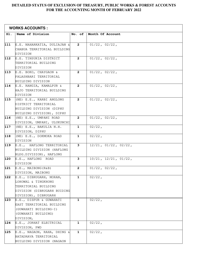|     | <b>WORKS ACCOUNTS :</b>                                                                                                       |                |                               |  |
|-----|-------------------------------------------------------------------------------------------------------------------------------|----------------|-------------------------------|--|
| Sl. | Name of Division                                                                                                              | No. of         | Month Of Account              |  |
| 111 | E.E. NAHARKATIA, DULIAJAN &<br>CHABUA TERRITORIAL BUILDING<br>DIVISION                                                        | $\mathbf{2}$   | $01/22$ , $02/22$ ,           |  |
| 112 | E.E. TINSUKIA DISTRICT<br>TERRITORIAL BUILDING<br>DIVISION                                                                    | $\mathbf{2}$   | $01/22$ , $02/22$ ,           |  |
| 113 | E.E. BOKO, CHAYGAON &<br>PALASHBARI TERRITORIAL<br>BUILDING DIVISION                                                          | $\overline{2}$ | $01/22$ , $02/22$ ,           |  |
| 114 | E.E. RANGIA, KAMALPUR &<br>HAJO TERRITORIAL BUILDING<br>DIVISION                                                              | $\mathbf{2}$   | $01/22$ , $02/22$ ,           |  |
| 115 | (NE) E.E., KARBI ANGLONG<br>DISTRICT TERRITORIAL<br>BUILDING DIVISION (DIPHU<br>BUILDING DIVISION), DIPHU                     | $\mathbf{2}$   | $01/22$ , $02/22$ ,           |  |
| 116 | (NE) E.E., UMPANI ROAD<br>DIVISION, UMPANI, ULUKUNCHI                                                                         | $\mathbf{2}$   | $01/22$ , $02/22$ ,           |  |
| 117 | (NE) E.E., BAKULIA N.H.<br>DIVISION, DIPHU                                                                                    | $\mathbf{1}$   | $02/22$ ,                     |  |
| 118 | (NE) E.E., DOKMOKA ROAD<br>DIVISION                                                                                           | $\mathbf{1}$   | $02/22$ ,                     |  |
| 119 | E.E., HAFLONG TERRITORIAL<br>BUILDING DIVISION (HAFLONG<br>BLDG.DIVISION), HAFLONG                                            | 3              | $12/21$ , $01/22$ , $02/22$ , |  |
| 120 | E.E., HAFLONG ROAD<br>DIVISION                                                                                                | 3              | $10/21$ , $12/21$ , $01/22$ , |  |
| 121 | E.E., MAIBONG (R&B)<br>DIVISION, MAIBONG                                                                                      | $\mathbf{2}$   | $01/22$ , $02/22$ ,           |  |
| 122 | E.E., DIBRUGARH, MORAN,<br>LOHOWAL & TINGKHONG<br>TERRITORIAL BUILDING<br>DIVISION (DIBRUGARH BUIDING<br>DIVISION), DIBRUGARH | 1              | $02/22$ ,                     |  |
| 123 | E.E., DISPUR & GUWAHATI<br>EAST TERRITORIAL BUILDING<br>(GUWAHATI BUILDING-I)<br>(GUWAHATI BUILDING)<br>DIVISION,             | $\mathbf{1}$   | $02/22$ ,                     |  |
| 124 | E.E., JORHAT ELECTRICAL<br>DIVISION, PWD                                                                                      | $\mathbf{1}$   | $02/22$ ,                     |  |
| 125 | E.E., NAGAON, RAHA, DHING &<br>BATADRAVA TERRITORIAL<br>BUILDING DIVISION (NAGAON                                             | $\mathbf{1}$   | $02/22$ ,                     |  |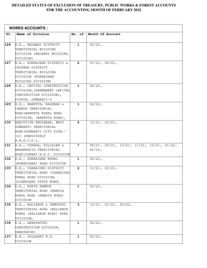|     | <b>WORKS ACCOUNTS :</b>                                    |                |                                           |
|-----|------------------------------------------------------------|----------------|-------------------------------------------|
| SI. | Name of Division                                           | No. of         | Month Of Account                          |
|     |                                                            |                |                                           |
| 126 | E.E., NALBARI DISTRICT                                     | $\mathbf{1}$   | $02/22$ ,                                 |
|     | TERRITORIAL BUILDING                                       |                |                                           |
|     | DIVISION (NALBARI BUILDING                                 |                |                                           |
| 127 | DIVISION)                                                  | $\mathbf{2}$   | $01/22$ , $02/22$ ,                       |
|     | E.E., KOKRAJHAR DISTRICT &                                 |                |                                           |
|     | CHIRANG DISTRICT                                           |                |                                           |
|     | TERRITORIAL BUILDING                                       |                |                                           |
|     | DIVISION (KOKRAJHAR                                        |                |                                           |
| 128 | BUILDING DIVISION)                                         | $\mathbf{1}$   | $02/22$ ,                                 |
|     | E.E., CAPITAL CONSTRUCTION<br>DIVISION, (PARMANENT CAPITAL |                |                                           |
|     | CONSTRUCTION DIVISION),                                    |                |                                           |
|     | DISPUR, GUWAHATI-6                                         |                |                                           |
| 129 | E.E., BARPETA, BAGHBAR &                                   | $\mathbf{1}$   | $02/22$ ,                                 |
|     | CHENGA TERRITORIAL                                         |                |                                           |
|     | ROAD (BARPETA RURAL ROAD                                   |                |                                           |
|     | DIVISION, (BARPETA ROAD),                                  |                |                                           |
| 130 | EXECUTIVE ENGINEER, WEST                                   | $\mathbf{2}$   | 12/21, 02/22,                             |
|     | GUWAHATI TERRITORIAL                                       |                |                                           |
|     | ROAD (GUWAHATI CITY DIVN.-                                 |                |                                           |
|     | III (PREVIOUSLY                                            |                |                                           |
|     | B.B.A.C.P.)                                                |                |                                           |
| 131 | E.E., CHABUA, DULIAJAN &                                   | $7\phantom{.}$ | 08/21, 09/21, 10/21, 11/21, 12/21, 01/22, |
|     | NAHARKATIA TERRITORIAL                                     |                | $02/22$ ,                                 |
|     | ROAD (JORHAT N.E.C. DIVISION                               |                |                                           |
| 132 | E.E., KOKRAJHAR RURAL                                      | $\mathbf{1}$   | $02/22$ ,                                 |
|     | (KOKRAJHAR) ROAD DIVISION                                  |                |                                           |
| 133 | E.E., CHARAIDEO DISTRICT                                   | $\mathbf{2}$   | 11/21, 02/22,                             |
|     | TERRITORIAL ROAD (CHARAIDEO                                |                |                                           |
|     | RURAL ROAD DIVISION,                                       |                |                                           |
|     | (DIBRUGARH STATE ROAD)                                     |                |                                           |
| 134 | E.E., NORTH KAMRUP                                         | $\mathbf{1}$   | $02/22$ ,                                 |
|     | TERRITORIAL ROAD (RANGIA                                   |                |                                           |
|     | RURAL ROAD (RANGIA ROAD)                                   |                |                                           |
|     | DIVISION                                                   |                |                                           |
| 135 | E.E., KALIABOR & SAMUGURI                                  | 3              | $12/21$ , $01/22$ , $02/22$ ,             |
|     | TERRITORIAL ROAD (KALIABOR                                 |                |                                           |
|     | RURAL (KALIABOR ROAD) ROAD                                 |                |                                           |
|     | DIVISION,                                                  |                |                                           |
| 136 | E.E., ABHAYAPURI                                           | $\mathbf{1}$   | $02/22$ ,                                 |
|     | CONSTRUCTION DIVISION,                                     |                |                                           |
|     | ABHAYAPURI                                                 |                |                                           |
| 137 | E.E., GOLAGHAT N.H.                                        | $\mathbf{1}$   | $02/22$ ,                                 |
|     | DIVISION                                                   |                |                                           |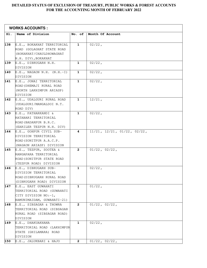|     | <b>WORKS ACCOUNTS :</b>                         |              |                                         |
|-----|-------------------------------------------------|--------------|-----------------------------------------|
| SI. | Name of Division                                | No. of       | Month Of Account                        |
|     |                                                 |              |                                         |
| 138 | E.E., BOKAKHAT TERRITORIAL                      | $\mathbf{1}$ | $02/22$ ,                               |
|     | ROAD (GOLAGHAT STATE ROAD                       |              |                                         |
|     | (BOKAKHAT/CHAULDHOWAGHAT                        |              |                                         |
| 139 | N.H. DIV), BOKAKHAT<br>E.E., DIBRUGARH N.H.     | 1            | $02/22$ ,                               |
|     | DIVISION                                        |              |                                         |
| 140 | $E.E., NAGAON N.H. (N.H.-I)$                    | $\mathbf 1$  | $02/22$ ,                               |
|     | DIVISION                                        |              |                                         |
| 141 | E.E., JONAI TERRITORIAL                         | $\mathbf{1}$ | $02/22$ ,                               |
|     | ROAD (DHEMAJI RURAL ROAD                        |              |                                         |
|     | (NORTH LAKHIMPUR ARIASP)                        |              |                                         |
|     | DIVISION                                        |              |                                         |
| 142 | E.E., UDALGURI RURAL ROAD                       | 1            | $12/21$ ,                               |
|     | (UDALGURI/MANGALDOI N.T.                        |              |                                         |
|     | ROAD DIV)                                       |              |                                         |
| 143 | E.E., PATHARKANDI &                             | $\mathbf{1}$ | $02/22$ ,                               |
|     | RATABARI TERRITORIAL                            |              |                                         |
|     | ROAD (BADARPUR B.R.C.                           |              |                                         |
|     | (EARILER TEZPUR N.H. DIV)                       | 4            | $11/21$ , $12/21$ , $01/22$ , $02/22$ , |
| 144 | E.E., GOHPUR CIVIL SUB-<br>DIVISION TERRITORIAL |              |                                         |
|     | ROAD (SONITPUR A.A.C.P.                         |              |                                         |
|     | (NAGAON ARIASP) DIVISION                        |              |                                         |
| 145 | E.E., TEZPUR, SOOTEA &                          | $\mathbf{2}$ | $01/22$ , $02/22$ ,                     |
|     | RANGAPARA TERRITORIAL                           |              |                                         |
|     | ROAD (SONITPUR STATE ROAD                       |              |                                         |
|     | (TEZPUR ROAD) DIVISION                          |              |                                         |
| 146 | E.E., DIBRUGARH SUB-                            | 1            | $02/22$ ,                               |
|     | DIVISION TERRITORIAL                            |              |                                         |
|     | ROAD (DIBRUGARH RURAL ROAD                      |              |                                         |
|     | (DIBRUGARH ROAD) DIVISION                       |              |                                         |
| 147 | E.E., EAST GUWAHATI                             | 1            | $01/22$ ,                               |
|     | TERRITORIAL ROAD (GUWAHATI                      |              |                                         |
|     | CITY DIVISION NO:-1,                            |              |                                         |
|     | BAMUNIMAIDAM, GUWAHATI-21)                      |              |                                         |
| 148 | E.E., SIBSAGAR & THOWRA                         | $\mathbf{2}$ | $01/22$ , $02/22$ ,                     |
|     | TERRITORIAL ROAD (SIBSAGAR                      |              |                                         |
|     | RURAL ROAD (SIBSAGAR ROAD)                      |              |                                         |
| 149 | DIVISION<br>E.E., DHAKUAKHANA                   | $\mathbf 1$  | $02/22$ ,                               |
|     | TERRITORIAL ROAD (LAKHIMPUR                     |              |                                         |
|     | STATE (GHILAMARA) ROAD                          |              |                                         |
|     | DIVISION                                        |              |                                         |
| 150 | E.E., JALUKBARI & HAJO                          | 2            | $01/22$ , $02/22$ ,                     |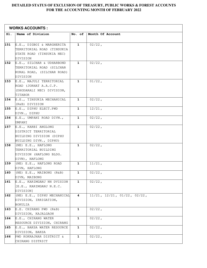| <b>WORKS ACCOUNTS :</b> |                                                   |              |                                         |  |
|-------------------------|---------------------------------------------------|--------------|-----------------------------------------|--|
| Sl.                     | Name of Division                                  | No. of       | Month Of Account                        |  |
|                         |                                                   |              |                                         |  |
| 151                     | E.E., DIGBOI & MARGHERITA                         | $\mathbf 1$  | $02/22$ ,                               |  |
|                         | TERRITORIAL ROAD (TINSUKIA                        |              |                                         |  |
|                         | STATE ROAD (TINSUKIA NEC)                         |              |                                         |  |
|                         | DIVISION                                          |              |                                         |  |
| 152                     | E.E., SILCHAR & UDHARBOND                         | $\mathbf{1}$ | $02/22$ ,                               |  |
|                         | TERRITORIAL ROAD (SILCHAR                         |              |                                         |  |
|                         | RURAL ROAD, (SILCHAR ROAD)                        |              |                                         |  |
|                         | DIVISION                                          |              |                                         |  |
| 153                     | E.E., MAJULI TERRITORIAL<br>ROAD (JORHAT A.A.C.P. | $\mathbf 1$  | $01/22$ ,                               |  |
|                         | (DHODARALI NEC) DIVISION,                         |              |                                         |  |
|                         | TITABOR                                           |              |                                         |  |
| 154                     | E.E., TINSUKIA MECHANICAL                         | $\mathbf 1$  | $02/22$ ,                               |  |
|                         | (R&B) DIVISION                                    |              |                                         |  |
| 155                     | E.E., DIPHU ELECT.PWD                             | $\mathbf 1$  | $12/21$ ,                               |  |
|                         | DIVN., DIPHU                                      |              |                                         |  |
| 156                     | E.E., UMPANI ROAD DIVN.,                          | $\mathbf 1$  | $02/22$ ,                               |  |
|                         | UMPANI                                            |              |                                         |  |
| 157                     | E.E., KARBI ANGLONG                               | $\mathbf{1}$ | $02/22$ ,                               |  |
|                         | DISTRICT TERRITORIAL                              |              |                                         |  |
|                         | BUILDING DIVISION (DIPHU                          |              |                                         |  |
|                         | BUILDING DIVN., DIPHU)                            |              |                                         |  |
| 158                     | (NE) E.E., HAFLONG                                | $\mathbf 1$  | $02/22$ ,                               |  |
|                         | TERRITORIAL BUILDING                              |              |                                         |  |
|                         | DIVISION (HAFLONG BLDG.                           |              |                                         |  |
|                         | DIVN), HAFLONG                                    |              |                                         |  |
| 159                     | (NE) E.E., HAFLONG ROAD                           | $\mathbf{1}$ | $11/21$ ,                               |  |
|                         | DIVN, HAFLONG                                     |              |                                         |  |
| 160                     | (NE) E.E., MAIBONG (R&B)                          | $\mathbf 1$  | $02/22$ ,                               |  |
|                         | DIVN, MAIBONG                                     |              |                                         |  |
| 161                     | E.E., KARIMGANJ NH DVISION                        | $\mathbf{1}$ | $02/22$ ,                               |  |
|                         | [E.E., KARIMGANJ N.E.C.                           |              |                                         |  |
| 162                     | DIVISION]<br>(NE) E.E., DIPHU MECHANICAL          | 4            | $11/21$ , $12/21$ , $01/22$ , $02/22$ , |  |
|                         | DIVISION, IRRIGATION,                             |              |                                         |  |
|                         | BOKULIA                                           |              |                                         |  |
| 163                     | $E.E.$ CHIRANG PWD (R&B)                          | $\mathbf{1}$ | $02/22$ ,                               |  |
|                         | DIVISION, KAJALGAON                               |              |                                         |  |
| 164                     | E.E., CHIRANG WATER                               | $\mathbf 1$  | $02/22$ ,                               |  |
|                         | RESOURCE DIVISION, CHIRANG                        |              |                                         |  |
| 165                     | E.E., BAKSA WATER RESOURCE                        | 1            | $02/22$ ,                               |  |
|                         | DIVISION, BAKSA                                   |              |                                         |  |
| 166                     | PWD KOKRAJHAR DISTRICT &                          | 1            | $02/22$ ,                               |  |
|                         | CHIRANG DISTRICT                                  |              |                                         |  |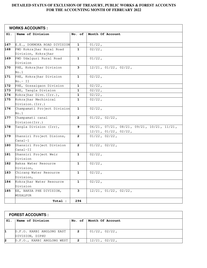| <b>WORKS ACCOUNTS :</b> |                             |                |                                                             |  |
|-------------------------|-----------------------------|----------------|-------------------------------------------------------------|--|
| SI.                     | Name of Division            | No. of         | Month Of Account                                            |  |
|                         |                             |                |                                                             |  |
| 167                     | E.E., DOKMOKA ROAD DIVISION | 1              | $01/22$ ,                                                   |  |
| 168                     | PWD Kokrajhar Rural Road    | $\mathbf{1}$   | $02/22$ ,                                                   |  |
|                         | Division, Kokrajhar         |                |                                                             |  |
| 169                     | PWD Udalguri Rural Road     | $\mathbf{1}$   | $01/22$ ,                                                   |  |
|                         | Division                    |                |                                                             |  |
| 170                     | PHE, Kokrajhar Division     | 3              | $12/21$ , $01/22$ , $02/22$ ,                               |  |
|                         | No.1                        |                |                                                             |  |
| 171                     | PHE, Kokrajhar Division     | $\mathbf{1}$   | $02/22$ ,                                                   |  |
|                         | $No.-I$                     |                |                                                             |  |
| 172                     | PHE, Gossaigaon Division    | $\mathbf 1$    | $02/22$ ,                                                   |  |
| 173                     | PHE, Tangla Division        | 1              | $02/22$ ,                                                   |  |
| 174                     | Kokrajhar Divn. (Irr.),     | 1              | $02/22$ ,                                                   |  |
| 175                     | Kokrajhar Mechinical        | 1              | $02/22$ ,                                                   |  |
|                         | Division. (Irr.)            |                |                                                             |  |
| 176                     | Champamati Project Division | $\mathbf{1}$   | $02/22$ ,                                                   |  |
|                         | No.1                        |                |                                                             |  |
| 177                     | Champamati canal            | $\mathbf{2}$   | $01/22$ , $02/22$ ,                                         |  |
|                         | Division (Irr.)             |                |                                                             |  |
| 178                     | Tangla Division (Irr),      | 9              | $06/21$ , $07/21$ , $08/21$ , $09/21$ , $10/21$ , $11/21$ , |  |
|                         |                             |                | $12/21$ , $01/22$ , $02/22$ ,                               |  |
| 179                     | Dhansiri Project Disions,   | $\overline{2}$ | $01/22$ , $02/22$ ,                                         |  |
|                         | Canal-1                     |                |                                                             |  |
| 180                     | Dhansiri Project Division   | $\overline{2}$ | $01/22$ , $02/22$ ,                                         |  |
|                         | Canal-II                    |                |                                                             |  |
| 181                     | Dhansiri Project Weir       | $\mathbf{1}$   | $02/22$ ,                                                   |  |
|                         | Division                    |                |                                                             |  |
| 182                     | Baksa Water Resource        | $\mathbf{1}$   | $02/22$ ,                                                   |  |
|                         | Division,                   |                |                                                             |  |
| 183                     | Chirang Water Resource      | $\mathbf{1}$   | $02/22$ ,                                                   |  |
|                         | Division,                   |                |                                                             |  |
| 184                     | Kokrajhar Water Resource    | $\mathbf{1}$   | $02/22$ ,                                                   |  |
|                         | Division                    |                |                                                             |  |
| 185                     | EE, BAKSA PHE DIVISION,     | 3              | $12/21$ , $01/22$ , $02/22$ ,                               |  |
|                         | MUSALPUR                    |                |                                                             |  |
|                         | Total :                     | 294            |                                                             |  |

| <b>FOREST ACCOUNTS :</b> |                            |              |                           |  |
|--------------------------|----------------------------|--------------|---------------------------|--|
| SI.                      | Name of Division           |              | No. of   Month Of Account |  |
|                          |                            |              |                           |  |
|                          | D.F.O. KARBI ANGLONG EAST  | $\mathbf{2}$ | $01/22$ , $02/22$ ,       |  |
|                          | DIVISION, DIPHU            |              |                           |  |
|                          | D.F.O., KARBI ANGLONG WEST | $\mathbf{2}$ | $12/21$ , $02/22$ ,       |  |